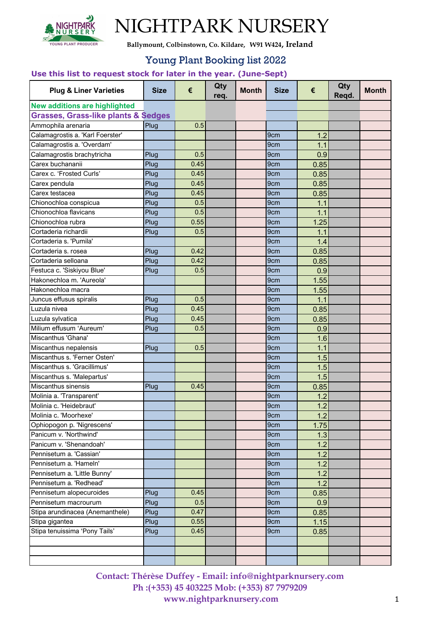

**Ballymount, Colbinstown, Co. Kildare, W91 W424, Ireland**

#### Young Plant Booking list 2022

#### **Use this list to request stock for later in the year. (June-Sept)**

| <b>Plug &amp; Liner Varieties</b>              | <b>Size</b> | €    | Qty<br>req. | <b>Month</b> | <b>Size</b>     | €    | Qty<br>Regd. | <b>Month</b> |
|------------------------------------------------|-------------|------|-------------|--------------|-----------------|------|--------------|--------------|
| <b>New additions are highlighted</b>           |             |      |             |              |                 |      |              |              |
| <b>Grasses, Grass-like plants &amp; Sedges</b> |             |      |             |              |                 |      |              |              |
| Ammophila arenaria                             | Plug        | 0.5  |             |              |                 |      |              |              |
| Calamagrostis a. 'Karl Foerster'               |             |      |             |              | 9cm             | 1.2  |              |              |
| Calamagrostis a. 'Overdam'                     |             |      |             |              | 9cm             | 1.1  |              |              |
| Calamagrostis brachytricha                     | Plug        | 0.5  |             |              | 9cm             | 0.9  |              |              |
| Carex buchananii                               | Plug        | 0.45 |             |              | 9cm             | 0.85 |              |              |
| Carex c. 'Frosted Curls'                       | Plug        | 0.45 |             |              | 9 <sub>cm</sub> | 0.85 |              |              |
| Carex pendula                                  | Plug        | 0.45 |             |              | 9cm             | 0.85 |              |              |
| Carex testacea                                 | Plug        | 0.45 |             |              | 9 <sub>cm</sub> | 0.85 |              |              |
| Chionochloa conspicua                          | Plug        | 0.5  |             |              | 9cm             | 1.1  |              |              |
| Chionochloa flavicans                          | Plug        | 0.5  |             |              | 9cm             | 1.1  |              |              |
| Chionochloa rubra                              | Plug        | 0.55 |             |              | 9 <sub>cm</sub> | 1.25 |              |              |
| Cortaderia richardii                           | Plug        | 0.5  |             |              | 9cm             | 1.1  |              |              |
| Cortaderia s. 'Pumila'                         |             |      |             |              | 9cm             | 1.4  |              |              |
| Cortaderia s. rosea                            | Plug        | 0.42 |             |              | 9cm             | 0.85 |              |              |
| Cortaderia selloana                            | Plug        | 0.42 |             |              | 9cm             | 0.85 |              |              |
| Festuca c. 'Siskiyou Blue'                     | Plug        | 0.5  |             |              | 9cm             | 0.9  |              |              |
| Hakonechloa m. 'Aureola'                       |             |      |             |              | 9cm             | 1.55 |              |              |
| Hakonechloa macra                              |             |      |             |              | 9cm             | 1.55 |              |              |
| Juncus effusus spiralis                        | Plug        | 0.5  |             |              | 9 <sub>cm</sub> | 1.1  |              |              |
| Luzula nivea                                   | Plug        | 0.45 |             |              | 9 <sub>cm</sub> | 0.85 |              |              |
| Luzula sylvatica                               | Plug        | 0.45 |             |              | 9 <sub>cm</sub> | 0.85 |              |              |
| Milium effusum 'Aureum'                        | Plug        | 0.5  |             |              | 9 <sub>cm</sub> | 0.9  |              |              |
| Miscanthus 'Ghana'                             |             |      |             |              | 9cm             | 1.6  |              |              |
| Miscanthus nepalensis                          | Plug        | 0.5  |             |              | 9cm             | 1.1  |              |              |
| Miscanthus s. 'Ferner Osten'                   |             |      |             |              | 9 <sub>cm</sub> | 1.5  |              |              |
| Miscanthus s. 'Gracillimus'                    |             |      |             |              | 9 <sub>cm</sub> | 1.5  |              |              |
| Miscanthus s. 'Malepartus'                     |             |      |             |              | 9cm             | 1.5  |              |              |
| Miscanthus sinensis                            | Plug        | 0.45 |             |              | 9cm             | 0.85 |              |              |
| Molinia a. 'Transparent'                       |             |      |             |              | 9cm             | 1.2  |              |              |
| Molinia c. 'Heidebraut'                        |             |      |             |              | 9cm             | 1.2  |              |              |
| Molinia c. 'Moorhexe'                          |             |      |             |              | 9cm             | 1.2  |              |              |
| Ophiopogon p. 'Nigrescens'                     |             |      |             |              | 9cm             | 1.75 |              |              |
| Panicum v. 'Northwind'                         |             |      |             |              | 9cm             | 1.3  |              |              |
| Panicum v. 'Shenandoah'                        |             |      |             |              | 9cm             | 1.2  |              |              |
| Pennisetum a. 'Cassian'                        |             |      |             |              | 9cm             | 1.2  |              |              |
| Pennisetum a. 'Hameln'                         |             |      |             |              | 9cm             | 1.2  |              |              |
| Pennisetum a. 'Little Bunny'                   |             |      |             |              | 9cm             | 1.2  |              |              |
| Pennisetum a. 'Redhead'                        |             |      |             |              | 9cm             | 1.2  |              |              |
| Pennisetum alopecuroides                       | Plug        | 0.45 |             |              | 9cm             | 0.85 |              |              |
| Pennisetum macrourum                           | Plug        | 0.5  |             |              | 9cm             | 0.9  |              |              |
| Stipa arundinacea (Anemanthele)                | Plug        | 0.47 |             |              | 9cm             | 0.85 |              |              |
| Stipa gigantea                                 | Plug        | 0.55 |             |              | 9cm             | 1.15 |              |              |
| Stipa tenuissima 'Pony Tails'                  | Plug        | 0.45 |             |              | 9 <sub>cm</sub> | 0.85 |              |              |
|                                                |             |      |             |              |                 |      |              |              |
|                                                |             |      |             |              |                 |      |              |              |
|                                                |             |      |             |              |                 |      |              |              |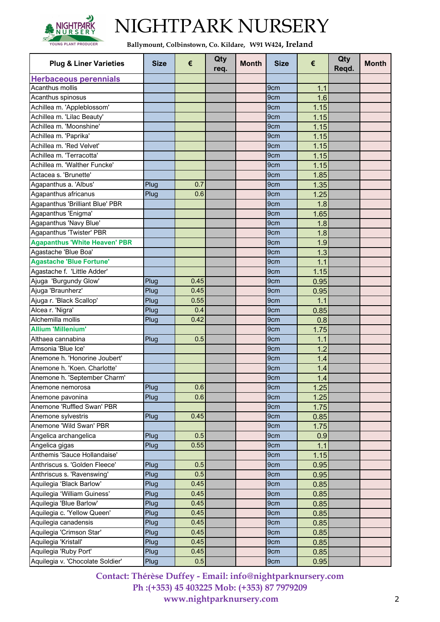

**Ballymount, Colbinstown, Co. Kildare, W91 W424, Ireland**

| <b>Plug &amp; Liner Varieties</b>       | <b>Size</b> | €    | Qty<br>req. | <b>Month</b> | <b>Size</b>     | €    | Qty<br>Regd. | <b>Month</b> |
|-----------------------------------------|-------------|------|-------------|--------------|-----------------|------|--------------|--------------|
| <b>Herbaceous perennials</b>            |             |      |             |              |                 |      |              |              |
| Acanthus mollis                         |             |      |             |              | 9cm             | 1.1  |              |              |
| Acanthus spinosus                       |             |      |             |              | 9cm             | 1.6  |              |              |
| Achillea m. 'Appleblossom'              |             |      |             |              | 9cm             | 1.15 |              |              |
| Achillea m. 'Lilac Beauty'              |             |      |             |              | 9cm             | 1.15 |              |              |
| Achillea m. 'Moonshine'                 |             |      |             |              | 9cm             | 1.15 |              |              |
| Achillea m. 'Paprika'                   |             |      |             |              | 9 <sub>cm</sub> | 1.15 |              |              |
| Achillea m. 'Red Velvet'                |             |      |             |              | 9cm             | 1.15 |              |              |
| Achillea m. 'Terracotta'                |             |      |             |              | 9cm             | 1.15 |              |              |
| Achillea m. 'Walther Funcke'            |             |      |             |              | 9cm             | 1.15 |              |              |
| Actacea s. 'Brunette'                   |             |      |             |              | 9 <sub>cm</sub> | 1.85 |              |              |
| Agapanthus a. 'Albus'                   | Plug        | 0.7  |             |              | 9cm             | 1.35 |              |              |
| Agapanthus africanus                    | Plug        | 0.6  |             |              | 9cm             | 1.25 |              |              |
| Agapanthus 'Brilliant Blue' PBR         |             |      |             |              | 9cm             | 1.8  |              |              |
| Agapanthus 'Enigma'                     |             |      |             |              | 9cm             | 1.65 |              |              |
| Agapanthus 'Navy Blue'                  |             |      |             |              | 9cm             | 1.8  |              |              |
| Agapanthus 'Twister' PBR                |             |      |             |              | 9cm             | 1.8  |              |              |
| <b>Agapanthus 'White Heaven' PBR</b>    |             |      |             |              | 9cm             | 1.9  |              |              |
| Agastache 'Blue Boa'                    |             |      |             |              | 9cm             | 1.3  |              |              |
| <b>Agastache 'Blue Fortune'</b>         |             |      |             |              | 9cm             | 1.1  |              |              |
| Agastache f. 'Little Adder'             |             |      |             |              | 9 <sub>cm</sub> | 1.15 |              |              |
| Ajuga 'Burgundy Glow'                   | Plug        | 0.45 |             |              | 9 <sub>cm</sub> |      |              |              |
| Ajuga 'Braunherz'                       |             | 0.45 |             |              | 9cm             | 0.95 |              |              |
|                                         | Plug        |      |             |              |                 | 0.95 |              |              |
| Ajuga r. 'Black Scallop'                | Plug        | 0.55 |             |              | 9cm             | 1.1  |              |              |
| Alcea r. 'Nigra'<br>Alchemilla mollis   | Plug        | 0.4  |             |              | 9cm             | 0.85 |              |              |
| <b>Allium 'Millenium'</b>               | Plug        | 0.42 |             |              | 9cm             | 0.8  |              |              |
|                                         |             |      |             |              | 9cm             | 1.75 |              |              |
| Althaea cannabina<br>Amsonia 'Blue Ice' | Plug        | 0.5  |             |              | 9cm             | 1.1  |              |              |
|                                         |             |      |             |              | 9cm             | 1.2  |              |              |
| Anemone h. 'Honorine Joubert'           |             |      |             |              | 9cm             | 1.4  |              |              |
| Anemone h. 'Koen. Charlotte'            |             |      |             |              | 9cm             | 1.4  |              |              |
| Anemone h. 'September Charm'            |             |      |             |              | 9 <sub>cm</sub> | 1.4  |              |              |
| Anemone nemorosa                        | Plug        | 0.6  |             |              | 9 <sub>cm</sub> | 1.25 |              |              |
| Anemone pavonina                        | Plug        | 0.6  |             |              | 9cm             | 1.25 |              |              |
| Anemone 'Ruffled Swan' PBR              |             |      |             |              | 9cm             | 1.75 |              |              |
| Anemone sylvestris                      | Plug        | 0.45 |             |              | 9cm             | 0.85 |              |              |
| Anemone 'Wild Swan' PBR                 |             |      |             |              | 9cm             | 1.75 |              |              |
| Angelica archangelica                   | Plug        | 0.5  |             |              | 9cm             | 0.9  |              |              |
| Angelica gigas                          | Plug        | 0.55 |             |              | 9cm             | 1.1  |              |              |
| Anthemis 'Sauce Hollandaise'            |             |      |             |              | 9cm             | 1.15 |              |              |
| Anthriscus s. 'Golden Fleece'           | Plug        | 0.5  |             |              | 9cm             | 0.95 |              |              |
| Anthriscus s. 'Ravenswing'              | Plug        | 0.5  |             |              | 9cm             | 0.95 |              |              |
| Aquilegia 'Black Barlow'                | Plug        | 0.45 |             |              | 9cm             | 0.85 |              |              |
| Aquilegia 'William Guiness'             | Plug        | 0.45 |             |              | 9cm             | 0.85 |              |              |
| Aquilegia 'Blue Barlow'                 | Plug        | 0.45 |             |              | 9cm             | 0.85 |              |              |
| Aquilegia c. 'Yellow Queen'             | Plug        | 0.45 |             |              | 9cm             | 0.85 |              |              |
| Aquilegia canadensis                    | Plug        | 0.45 |             |              | 9cm             | 0.85 |              |              |
| Aquilegia 'Crimson Star'                | Plug        | 0.45 |             |              | 9cm             | 0.85 |              |              |
| Aquilegia 'Kristall'                    | Plug        | 0.45 |             |              | 9cm             | 0.85 |              |              |
| Aquilegia 'Ruby Port'                   | Plug        | 0.45 |             |              | 9cm             | 0.85 |              |              |
| Aquilegia v. 'Chocolate Soldier'        | Plug        | 0.5  |             |              | 9cm             | 0.95 |              |              |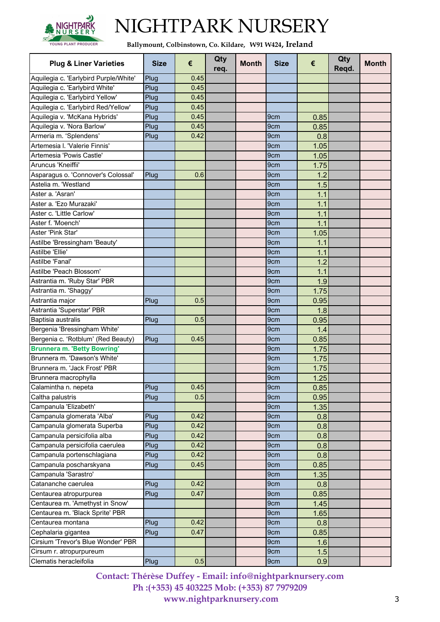

**Ballymount, Colbinstown, Co. Kildare, W91 W424, Ireland**

| <b>Plug &amp; Liner Varieties</b>     | <b>Size</b> | €     | Qty<br>req. | <b>Month</b> | <b>Size</b>     | €    | Qty<br>Reqd. | <b>Month</b> |
|---------------------------------------|-------------|-------|-------------|--------------|-----------------|------|--------------|--------------|
| Aquilegia c. 'Earlybird Purple/White' | Plug        | 0.45  |             |              |                 |      |              |              |
| Aquilegia c. 'Earlybird White'        | Plug        | 0.45  |             |              |                 |      |              |              |
| Aquilegia c. 'Earlybird Yellow'       | Plug        | 0.45  |             |              |                 |      |              |              |
| Aquilegia c. 'Earlybird Red/Yellow'   | Plug        | 0.45  |             |              |                 |      |              |              |
| Aquilegia v. 'McKana Hybrids'         | Plug        | 0.45  |             |              | 9 <sub>cm</sub> | 0.85 |              |              |
| Aquilegia v. 'Nora Barlow'            | Plug        | 0.45  |             |              | 9 <sub>cm</sub> | 0.85 |              |              |
| Armeria m. 'Splendens'                | Plug        | 0.42  |             |              | 9cm             | 0.8  |              |              |
| Artemesia I. 'Valerie Finnis'         |             |       |             |              | 9 <sub>cm</sub> | 1.05 |              |              |
| Artemesia 'Powis Castle'              |             |       |             |              | 9cm             | 1.05 |              |              |
| Aruncus 'Kneiffii'                    |             |       |             |              | 9 <sub>cm</sub> | 1.75 |              |              |
| Asparagus o. 'Connover's Colossal'    | Plug        | 0.6   |             |              | 9 <sub>cm</sub> | 1.2  |              |              |
| Astelia m. 'Westland                  |             |       |             |              | 9cm             | 1.5  |              |              |
| Aster a. 'Asran'                      |             |       |             |              |                 |      |              |              |
|                                       |             |       |             |              | 9cm             | 1.1  |              |              |
| Aster a. 'Ezo Murazaki'               |             |       |             |              | 9 <sub>cm</sub> | 1.1  |              |              |
| Aster c. 'Little Carlow'              |             |       |             |              | 9 <sub>cm</sub> | 1.1  |              |              |
| Aster f. 'Moench'                     |             |       |             |              | 9 <sub>cm</sub> | 1.1  |              |              |
| Aster 'Pink Star'                     |             |       |             |              | 9cm             | 1.05 |              |              |
| Astilbe 'Bressingham 'Beauty'         |             |       |             |              | 9 <sub>cm</sub> | 1.1  |              |              |
| Astilbe 'Ellie'                       |             |       |             |              | 9 <sub>cm</sub> | 1.1  |              |              |
| Astilbe 'Fanal'                       |             |       |             |              | 9cm             | 1.2  |              |              |
| Astilbe 'Peach Blossom'               |             |       |             |              | 9cm             | 1.1  |              |              |
| Astrantia m. 'Ruby Star' PBR          |             |       |             |              | 9 <sub>cm</sub> | 1.9  |              |              |
| Astrantia m. 'Shaggy'                 |             |       |             |              | 9cm             | 1.75 |              |              |
| Astrantia major                       | Plug        | 0.5   |             |              | 9cm             | 0.95 |              |              |
| Astrantia 'Superstar' PBR             |             |       |             |              | 9 <sub>cm</sub> | 1.8  |              |              |
| Baptisia australis                    | Plug        | 0.5   |             |              | 9 <sub>cm</sub> | 0.95 |              |              |
| Bergenia 'Bressingham White'          |             |       |             |              | 9cm             | 1.4  |              |              |
| Bergenia c. 'Rotblum' (Red Beauty)    | Plug        | 0.45  |             |              | 9cm             | 0.85 |              |              |
| <b>Brunnera m. 'Betty Bowring'</b>    |             |       |             |              | 9cm             | 1.75 |              |              |
| Brunnera m. 'Dawson's White'          |             |       |             |              | 9cm             | 1.75 |              |              |
| Brunnera m. 'Jack Frost' PBR          |             |       |             |              | 9cm             | 1.75 |              |              |
| Brunnera macrophylla                  |             |       |             |              | 9cm             | 1.25 |              |              |
| Calamintha n. nepeta                  | Plug        | 0.451 |             |              | 9 <sub>cm</sub> | 0.85 |              |              |
| Caltha palustris                      | Plug        | 0.5   |             |              | 9cm             | 0.95 |              |              |
| Campanula 'Elizabeth'                 |             |       |             |              | 9cm             | 1.35 |              |              |
| Campanula glomerata 'Alba'            | Plug        | 0.42  |             |              | 9cm             | 0.8  |              |              |
| Campanula glomerata Superba           | Plug        | 0.42  |             |              | 9cm             | 0.8  |              |              |
| Campanula persicifolia alba           | Plug        | 0.42  |             |              | 9cm             | 0.8  |              |              |
| Campanula persicifolia caerulea       | Plug        | 0.42  |             |              | 9cm             | 0.8  |              |              |
| Campanula portenschlagiana            | Plug        | 0.42  |             |              | 9cm             | 0.8  |              |              |
| Campanula poscharskyana               | Plug        | 0.45  |             |              | 9 <sub>cm</sub> | 0.85 |              |              |
| Campanula 'Sarastro'                  |             |       |             |              | 9cm             |      |              |              |
|                                       |             |       |             |              |                 | 1.35 |              |              |
| Catananche caerulea                   | Plug        | 0.42  |             |              | 9 <sub>cm</sub> | 0.8  |              |              |
| Centaurea atropurpurea                | Plug        | 0.47  |             |              | 9 <sub>cm</sub> | 0.85 |              |              |
| Centaurea m. 'Amethyst in Snow'       |             |       |             |              | 9cm             | 1.45 |              |              |
| Centaurea m. 'Black Sprite' PBR       |             |       |             |              | 9cm             | 1.65 |              |              |
| Centaurea montana                     | Plug        | 0.42  |             |              | 9cm             | 0.8  |              |              |
| Cephalaria gigantea                   | Plug        | 0.47  |             |              | 9cm             | 0.85 |              |              |
| Cirsium 'Trevor's Blue Wonder' PBR    |             |       |             |              | 9 <sub>cm</sub> | 1.6  |              |              |
| Cirsum r. atropurpureum               |             |       |             |              | 9cm             | 1.5  |              |              |
| Clematis heracleifolia                | Plug        | 0.5   |             |              | 9cm             | 0.9  |              |              |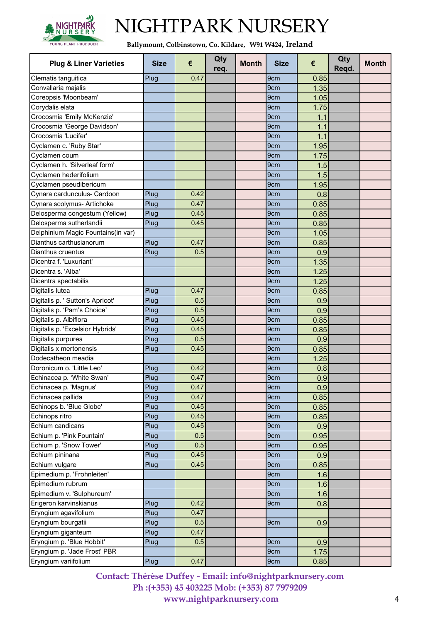

**Ballymount, Colbinstown, Co. Kildare, W91 W424, Ireland**

| <b>Plug &amp; Liner Varieties</b>                   | <b>Size</b> | €    | Qty<br>req. | <b>Month</b> | <b>Size</b>     | €          | Qty<br>Reqd. | <b>Month</b> |
|-----------------------------------------------------|-------------|------|-------------|--------------|-----------------|------------|--------------|--------------|
| Clematis tanguitica                                 | Plug        | 0.47 |             |              | 9 <sub>cm</sub> | 0.85       |              |              |
| Convallaria majalis                                 |             |      |             |              | 9 <sub>cm</sub> | 1.35       |              |              |
| Coreopsis 'Moonbeam'                                |             |      |             |              | 9 <sub>cm</sub> | 1.05       |              |              |
| Corydalis elata                                     |             |      |             |              | 9 <sub>cm</sub> | 1.75       |              |              |
| Crocosmia 'Emily McKenzie'                          |             |      |             |              | 9cm             | 1.1        |              |              |
| Crocosmia 'George Davidson'                         |             |      |             |              | 9cm             | 1.1        |              |              |
| Crocosmia 'Lucifer'                                 |             |      |             |              | 9cm             | 1.1        |              |              |
| Cyclamen c. 'Ruby Star'                             |             |      |             |              | 9 <sub>cm</sub> | 1.95       |              |              |
| Cyclamen coum                                       |             |      |             |              | 9 <sub>cm</sub> | 1.75       |              |              |
| Cyclamen h. 'Silverleaf form'                       |             |      |             |              | 9cm             | 1.5        |              |              |
| Cyclamen hederifolium                               |             |      |             |              | 9cm             | 1.5        |              |              |
| Cyclamen pseudibericum                              |             |      |             |              | 9 <sub>cm</sub> | 1.95       |              |              |
| Cynara cardunculus- Cardoon                         | Plug        | 0.42 |             |              | 9cm             | 0.8        |              |              |
| Cynara scolymus- Artichoke                          | Plug        | 0.47 |             |              | 9cm             | 0.85       |              |              |
| Delosperma congestum (Yellow)                       | Plug        | 0.45 |             |              | 9cm             | 0.85       |              |              |
| Delosperma sutherlandii                             | Plug        | 0.45 |             |              | 9cm             | 0.85       |              |              |
| Delphinium Magic Fountains(in var)                  |             |      |             |              | 9cm             | 1.05       |              |              |
| Dianthus carthusianorum                             | Plug        | 0.47 |             |              | 9cm             | 0.85       |              |              |
| Dianthus cruentus                                   | Plug        | 0.5  |             |              | 9 <sub>cm</sub> | 0.9        |              |              |
| Dicentra f. 'Luxuriant'                             |             |      |             |              | 9 <sub>cm</sub> | 1.35       |              |              |
| Dicentra s. 'Alba'                                  |             |      |             |              | 9cm             | 1.25       |              |              |
| Dicentra spectabilis                                |             |      |             |              | 9 <sub>cm</sub> | 1.25       |              |              |
| Digitalis lutea                                     | Plug        | 0.47 |             |              | 9cm             | 0.85       |              |              |
| Digitalis p. ' Sutton's Apricot'                    | Plug        | 0.5  |             |              | 9cm             | 0.9        |              |              |
| Digitalis p. 'Pam's Choice'                         | Plug        | 0.5  |             |              | 9cm             | 0.9        |              |              |
| Digitalis p. Albiflora                              | Plug        | 0.45 |             |              | 9 <sub>cm</sub> | 0.85       |              |              |
| Digitalis p. 'Excelsior Hybrids'                    | Plug        | 0.45 |             |              | 9cm             | 0.85       |              |              |
| Digitalis purpurea                                  | Plug        | 0.5  |             |              | 9cm             | 0.9        |              |              |
| Digitalis x mertonensis                             | Plug        | 0.45 |             |              | 9cm             | 0.85       |              |              |
| Dodecatheon meadia                                  |             |      |             |              | 9 <sub>cm</sub> | 1.25       |              |              |
| Doronicum o. 'Little Leo'                           | Plug        | 0.42 |             |              | 9cm             | 0.8        |              |              |
| Echinacea p. 'White Swan'                           | Plug        | 0.47 |             |              | 9cm             | 0.9        |              |              |
| Echinacea p. 'Magnus'                               | Plug        | 0.47 |             |              | 9cm             | 0.9        |              |              |
| Echinacea pallida                                   | Plug        | 0.47 |             |              | 9cm             | 0.85       |              |              |
| Echinops b. 'Blue Globe'                            | Plug        | 0.45 |             |              | 9 <sub>cm</sub> | 0.85       |              |              |
| Echinops ritro                                      | Plug        | 0.45 |             |              | 9cm             | 0.85       |              |              |
| Echium candicans                                    | Plug        | 0.45 |             |              | 9 <sub>cm</sub> | 0.9        |              |              |
| Echium p. 'Pink Fountain'                           | Plug        | 0.5  |             |              | 9cm             | 0.95       |              |              |
| Echium p. 'Snow Tower'                              | Plug        | 0.5  |             |              | 9cm             | 0.95       |              |              |
| Echium pininana                                     | Plug        | 0.45 |             |              | 9cm             | 0.9        |              |              |
| Echium vulgare                                      | Plug        | 0.45 |             |              | 9cm             |            |              |              |
| Epimedium p. 'Frohnleiten'                          |             |      |             |              | 9cm             | 0.85       |              |              |
| Epimedium rubrum                                    |             |      |             |              | 9cm             | 1.6        |              |              |
|                                                     |             |      |             |              |                 | 1.6        |              |              |
| Epimedium v. 'Sulphureum'<br>Erigeron karvinskianus | Plug        | 0.42 |             |              | 9cm<br>9cm      | 1.6<br>0.8 |              |              |
|                                                     |             |      |             |              |                 |            |              |              |
| Eryngium agavifolium                                | Plug        | 0.47 |             |              |                 |            |              |              |
| Eryngium bourgatii                                  | Plug        | 0.5  |             |              | 9cm             | 0.9        |              |              |
| Eryngium giganteum                                  | Plug        | 0.47 |             |              |                 |            |              |              |
| Eryngium p. 'Blue Hobbit'                           | Plug        | 0.5  |             |              | 9 <sub>cm</sub> | 0.9        |              |              |
| Eryngium p. 'Jade Frost' PBR                        |             |      |             |              | 9cm             | 1.75       |              |              |
| Eryngium variifolium                                | Plug        | 0.47 |             |              | 9cm             | 0.85       |              |              |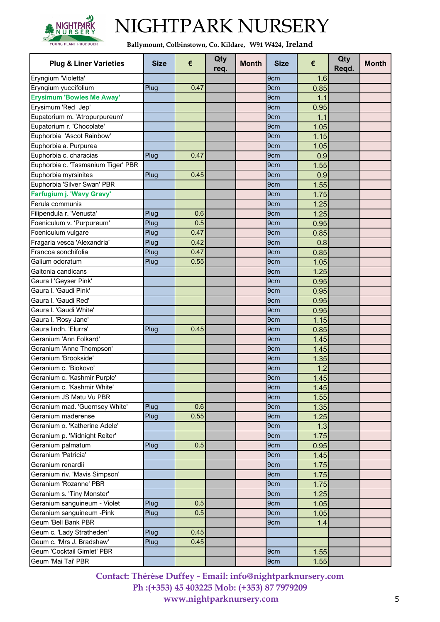

**Ballymount, Colbinstown, Co. Kildare, W91 W424, Ireland**

| Eryngium 'Violetta'<br>9 <sub>cm</sub><br>1.6<br>Eryngium yuccifolium<br>0.47<br>0.85<br>9cm<br>Plug<br><b>Erysimum 'Bowles Me Away'</b><br>9 <sub>cm</sub><br>1.1<br>Erysimum 'Red Jep'<br>9cm<br>0.95<br>Eupatorium m. 'Atropurpureum'<br>9 <sub>cm</sub><br>1.1<br>Eupatorium r. 'Chocolate'<br>9cm<br>1.05<br>Euphorbia 'Ascot Rainbow'<br>9cm<br>1.15<br>9cm<br>1.05<br>Euphorbia a. Purpurea<br>Euphorbia c. characias<br>0.47<br>Plug<br>9 <sub>cm</sub><br>0.9<br>Euphorbia c. 'Tasmanium Tiger' PBR<br>1.55<br>9 <sub>cm</sub><br>Euphorbia myrsinites<br>0.45<br>9cm<br>0.9<br>Plug<br>Euphorbia 'Silver Swan' PBR<br>9cm<br>1.55<br>Farfugium j. 'Wavy Gravy'<br>1.75<br>9 <sub>cm</sub><br>Ferula communis<br>1.25<br>9cm<br>Filipendula r. 'Venusta'<br>0.6<br>Plug<br>9cm<br>1.25<br>0.5<br>Foeniculum v. 'Purpureum'<br>Plug<br>9 <sub>cm</sub><br>0.95<br>0.47<br>Foeniculum vulgare<br>Plug<br>9cm<br>0.85<br>Fragaria vesca 'Alexandria'<br>0.42<br>9cm<br>0.8<br>Plug<br>Francoa sonchifolia<br>0.47<br>9cm<br>0.85<br>Plug<br>Galium odoratum<br>0.55<br>1.05<br>Plug<br>9 <sub>cm</sub><br>Galtonia candicans<br>9cm<br>1.25<br>Gaura I 'Geyser Pink'<br>9 <sub>cm</sub><br>0.95<br>Gaura I. 'Gaudi Pink'<br>9 <sub>cm</sub><br>0.95<br>Gaura I. 'Gaudi Red'<br>9cm<br>0.95<br>Gaura I. 'Gaudi White'<br>9cm<br>0.95<br>Gaura I. 'Rosy Jane'<br>1.15<br>9cm<br>Gaura lindh. 'Elurra'<br>0.45<br>0.85<br>9 <sub>cm</sub><br>Plug<br>Geranium 'Ann Folkard'<br>9cm<br>1.45<br>Geranium 'Anne Thompson'<br>9cm<br>1.45<br>Geranium 'Brookside'<br>9cm<br>1.35<br>Geranium c. 'Biokovo'<br>9cm<br>1.2<br>Geranium c. 'Kashmir Purple'<br>9cm<br>1.45<br>Geranium c. 'Kashmir White'<br>9 <sub>cm</sub><br>1.45<br>Geranium JS Matu Vu PBR<br>9cm<br>1.55<br>Geranium mad. 'Guernsey White'<br>0.6<br>1.35<br>Plug<br>9 <sub>cm</sub><br>Geranium maderense<br>0.55<br>1.25<br>Plug<br>9cm<br>Geranium o. 'Katherine Adele'<br>9 <sub>cm</sub><br>1.3<br>Geranium p. 'Midnight Reiter'<br>1.75<br>9cm<br>0.5<br>Geranium palmatum<br>Plug<br>9cm<br>0.95<br>Geranium 'Patricia'<br>9cm<br>1.45<br>Geranium renardii<br>9cm<br>1.75<br>Geranium riv. 'Mavis Simpson'<br>1.75<br>9 <sub>cm</sub><br>Geranium 'Rozanne' PBR<br>9 <sub>cm</sub><br>1.75<br>1.25<br>Geranium s. 'Tiny Monster'<br>9cm<br>0.5<br>Geranium sanguineum - Violet<br>1.05<br>Plug<br>9cm<br>Geranium sanguineum - Pink<br>0.5<br>Plug<br>1.05<br>9 <sub>cm</sub><br>Geum 'Bell Bank PBR<br>9cm<br>1.4<br>Geum c. 'Lady Stratheden'<br>Plug<br>0.45<br>Geum c. 'Mrs J. Bradshaw'<br>0.45<br>Plug<br>Geum 'Cocktail Gimlet' PBR<br>9cm<br>1.55 | <b>Plug &amp; Liner Varieties</b> | <b>Size</b> | € | Qty<br>req. | <b>Month</b> | <b>Size</b> | €    | Qty<br>Regd. | <b>Month</b> |
|------------------------------------------------------------------------------------------------------------------------------------------------------------------------------------------------------------------------------------------------------------------------------------------------------------------------------------------------------------------------------------------------------------------------------------------------------------------------------------------------------------------------------------------------------------------------------------------------------------------------------------------------------------------------------------------------------------------------------------------------------------------------------------------------------------------------------------------------------------------------------------------------------------------------------------------------------------------------------------------------------------------------------------------------------------------------------------------------------------------------------------------------------------------------------------------------------------------------------------------------------------------------------------------------------------------------------------------------------------------------------------------------------------------------------------------------------------------------------------------------------------------------------------------------------------------------------------------------------------------------------------------------------------------------------------------------------------------------------------------------------------------------------------------------------------------------------------------------------------------------------------------------------------------------------------------------------------------------------------------------------------------------------------------------------------------------------------------------------------------------------------------------------------------------------------------------------------------------------------------------------------------------------------------------------------------------------------------------------------------------------------------------------------------------------------------------------------------------------------------------------------------------------------------------------------------------------------------------------------------------------------|-----------------------------------|-------------|---|-------------|--------------|-------------|------|--------------|--------------|
|                                                                                                                                                                                                                                                                                                                                                                                                                                                                                                                                                                                                                                                                                                                                                                                                                                                                                                                                                                                                                                                                                                                                                                                                                                                                                                                                                                                                                                                                                                                                                                                                                                                                                                                                                                                                                                                                                                                                                                                                                                                                                                                                                                                                                                                                                                                                                                                                                                                                                                                                                                                                                                    |                                   |             |   |             |              |             |      |              |              |
|                                                                                                                                                                                                                                                                                                                                                                                                                                                                                                                                                                                                                                                                                                                                                                                                                                                                                                                                                                                                                                                                                                                                                                                                                                                                                                                                                                                                                                                                                                                                                                                                                                                                                                                                                                                                                                                                                                                                                                                                                                                                                                                                                                                                                                                                                                                                                                                                                                                                                                                                                                                                                                    |                                   |             |   |             |              |             |      |              |              |
|                                                                                                                                                                                                                                                                                                                                                                                                                                                                                                                                                                                                                                                                                                                                                                                                                                                                                                                                                                                                                                                                                                                                                                                                                                                                                                                                                                                                                                                                                                                                                                                                                                                                                                                                                                                                                                                                                                                                                                                                                                                                                                                                                                                                                                                                                                                                                                                                                                                                                                                                                                                                                                    |                                   |             |   |             |              |             |      |              |              |
|                                                                                                                                                                                                                                                                                                                                                                                                                                                                                                                                                                                                                                                                                                                                                                                                                                                                                                                                                                                                                                                                                                                                                                                                                                                                                                                                                                                                                                                                                                                                                                                                                                                                                                                                                                                                                                                                                                                                                                                                                                                                                                                                                                                                                                                                                                                                                                                                                                                                                                                                                                                                                                    |                                   |             |   |             |              |             |      |              |              |
|                                                                                                                                                                                                                                                                                                                                                                                                                                                                                                                                                                                                                                                                                                                                                                                                                                                                                                                                                                                                                                                                                                                                                                                                                                                                                                                                                                                                                                                                                                                                                                                                                                                                                                                                                                                                                                                                                                                                                                                                                                                                                                                                                                                                                                                                                                                                                                                                                                                                                                                                                                                                                                    |                                   |             |   |             |              |             |      |              |              |
|                                                                                                                                                                                                                                                                                                                                                                                                                                                                                                                                                                                                                                                                                                                                                                                                                                                                                                                                                                                                                                                                                                                                                                                                                                                                                                                                                                                                                                                                                                                                                                                                                                                                                                                                                                                                                                                                                                                                                                                                                                                                                                                                                                                                                                                                                                                                                                                                                                                                                                                                                                                                                                    |                                   |             |   |             |              |             |      |              |              |
|                                                                                                                                                                                                                                                                                                                                                                                                                                                                                                                                                                                                                                                                                                                                                                                                                                                                                                                                                                                                                                                                                                                                                                                                                                                                                                                                                                                                                                                                                                                                                                                                                                                                                                                                                                                                                                                                                                                                                                                                                                                                                                                                                                                                                                                                                                                                                                                                                                                                                                                                                                                                                                    |                                   |             |   |             |              |             |      |              |              |
|                                                                                                                                                                                                                                                                                                                                                                                                                                                                                                                                                                                                                                                                                                                                                                                                                                                                                                                                                                                                                                                                                                                                                                                                                                                                                                                                                                                                                                                                                                                                                                                                                                                                                                                                                                                                                                                                                                                                                                                                                                                                                                                                                                                                                                                                                                                                                                                                                                                                                                                                                                                                                                    |                                   |             |   |             |              |             |      |              |              |
|                                                                                                                                                                                                                                                                                                                                                                                                                                                                                                                                                                                                                                                                                                                                                                                                                                                                                                                                                                                                                                                                                                                                                                                                                                                                                                                                                                                                                                                                                                                                                                                                                                                                                                                                                                                                                                                                                                                                                                                                                                                                                                                                                                                                                                                                                                                                                                                                                                                                                                                                                                                                                                    |                                   |             |   |             |              |             |      |              |              |
|                                                                                                                                                                                                                                                                                                                                                                                                                                                                                                                                                                                                                                                                                                                                                                                                                                                                                                                                                                                                                                                                                                                                                                                                                                                                                                                                                                                                                                                                                                                                                                                                                                                                                                                                                                                                                                                                                                                                                                                                                                                                                                                                                                                                                                                                                                                                                                                                                                                                                                                                                                                                                                    |                                   |             |   |             |              |             |      |              |              |
|                                                                                                                                                                                                                                                                                                                                                                                                                                                                                                                                                                                                                                                                                                                                                                                                                                                                                                                                                                                                                                                                                                                                                                                                                                                                                                                                                                                                                                                                                                                                                                                                                                                                                                                                                                                                                                                                                                                                                                                                                                                                                                                                                                                                                                                                                                                                                                                                                                                                                                                                                                                                                                    |                                   |             |   |             |              |             |      |              |              |
|                                                                                                                                                                                                                                                                                                                                                                                                                                                                                                                                                                                                                                                                                                                                                                                                                                                                                                                                                                                                                                                                                                                                                                                                                                                                                                                                                                                                                                                                                                                                                                                                                                                                                                                                                                                                                                                                                                                                                                                                                                                                                                                                                                                                                                                                                                                                                                                                                                                                                                                                                                                                                                    |                                   |             |   |             |              |             |      |              |              |
|                                                                                                                                                                                                                                                                                                                                                                                                                                                                                                                                                                                                                                                                                                                                                                                                                                                                                                                                                                                                                                                                                                                                                                                                                                                                                                                                                                                                                                                                                                                                                                                                                                                                                                                                                                                                                                                                                                                                                                                                                                                                                                                                                                                                                                                                                                                                                                                                                                                                                                                                                                                                                                    |                                   |             |   |             |              |             |      |              |              |
|                                                                                                                                                                                                                                                                                                                                                                                                                                                                                                                                                                                                                                                                                                                                                                                                                                                                                                                                                                                                                                                                                                                                                                                                                                                                                                                                                                                                                                                                                                                                                                                                                                                                                                                                                                                                                                                                                                                                                                                                                                                                                                                                                                                                                                                                                                                                                                                                                                                                                                                                                                                                                                    |                                   |             |   |             |              |             |      |              |              |
|                                                                                                                                                                                                                                                                                                                                                                                                                                                                                                                                                                                                                                                                                                                                                                                                                                                                                                                                                                                                                                                                                                                                                                                                                                                                                                                                                                                                                                                                                                                                                                                                                                                                                                                                                                                                                                                                                                                                                                                                                                                                                                                                                                                                                                                                                                                                                                                                                                                                                                                                                                                                                                    |                                   |             |   |             |              |             |      |              |              |
|                                                                                                                                                                                                                                                                                                                                                                                                                                                                                                                                                                                                                                                                                                                                                                                                                                                                                                                                                                                                                                                                                                                                                                                                                                                                                                                                                                                                                                                                                                                                                                                                                                                                                                                                                                                                                                                                                                                                                                                                                                                                                                                                                                                                                                                                                                                                                                                                                                                                                                                                                                                                                                    |                                   |             |   |             |              |             |      |              |              |
|                                                                                                                                                                                                                                                                                                                                                                                                                                                                                                                                                                                                                                                                                                                                                                                                                                                                                                                                                                                                                                                                                                                                                                                                                                                                                                                                                                                                                                                                                                                                                                                                                                                                                                                                                                                                                                                                                                                                                                                                                                                                                                                                                                                                                                                                                                                                                                                                                                                                                                                                                                                                                                    |                                   |             |   |             |              |             |      |              |              |
|                                                                                                                                                                                                                                                                                                                                                                                                                                                                                                                                                                                                                                                                                                                                                                                                                                                                                                                                                                                                                                                                                                                                                                                                                                                                                                                                                                                                                                                                                                                                                                                                                                                                                                                                                                                                                                                                                                                                                                                                                                                                                                                                                                                                                                                                                                                                                                                                                                                                                                                                                                                                                                    |                                   |             |   |             |              |             |      |              |              |
|                                                                                                                                                                                                                                                                                                                                                                                                                                                                                                                                                                                                                                                                                                                                                                                                                                                                                                                                                                                                                                                                                                                                                                                                                                                                                                                                                                                                                                                                                                                                                                                                                                                                                                                                                                                                                                                                                                                                                                                                                                                                                                                                                                                                                                                                                                                                                                                                                                                                                                                                                                                                                                    |                                   |             |   |             |              |             |      |              |              |
|                                                                                                                                                                                                                                                                                                                                                                                                                                                                                                                                                                                                                                                                                                                                                                                                                                                                                                                                                                                                                                                                                                                                                                                                                                                                                                                                                                                                                                                                                                                                                                                                                                                                                                                                                                                                                                                                                                                                                                                                                                                                                                                                                                                                                                                                                                                                                                                                                                                                                                                                                                                                                                    |                                   |             |   |             |              |             |      |              |              |
|                                                                                                                                                                                                                                                                                                                                                                                                                                                                                                                                                                                                                                                                                                                                                                                                                                                                                                                                                                                                                                                                                                                                                                                                                                                                                                                                                                                                                                                                                                                                                                                                                                                                                                                                                                                                                                                                                                                                                                                                                                                                                                                                                                                                                                                                                                                                                                                                                                                                                                                                                                                                                                    |                                   |             |   |             |              |             |      |              |              |
|                                                                                                                                                                                                                                                                                                                                                                                                                                                                                                                                                                                                                                                                                                                                                                                                                                                                                                                                                                                                                                                                                                                                                                                                                                                                                                                                                                                                                                                                                                                                                                                                                                                                                                                                                                                                                                                                                                                                                                                                                                                                                                                                                                                                                                                                                                                                                                                                                                                                                                                                                                                                                                    |                                   |             |   |             |              |             |      |              |              |
|                                                                                                                                                                                                                                                                                                                                                                                                                                                                                                                                                                                                                                                                                                                                                                                                                                                                                                                                                                                                                                                                                                                                                                                                                                                                                                                                                                                                                                                                                                                                                                                                                                                                                                                                                                                                                                                                                                                                                                                                                                                                                                                                                                                                                                                                                                                                                                                                                                                                                                                                                                                                                                    |                                   |             |   |             |              |             |      |              |              |
|                                                                                                                                                                                                                                                                                                                                                                                                                                                                                                                                                                                                                                                                                                                                                                                                                                                                                                                                                                                                                                                                                                                                                                                                                                                                                                                                                                                                                                                                                                                                                                                                                                                                                                                                                                                                                                                                                                                                                                                                                                                                                                                                                                                                                                                                                                                                                                                                                                                                                                                                                                                                                                    |                                   |             |   |             |              |             |      |              |              |
|                                                                                                                                                                                                                                                                                                                                                                                                                                                                                                                                                                                                                                                                                                                                                                                                                                                                                                                                                                                                                                                                                                                                                                                                                                                                                                                                                                                                                                                                                                                                                                                                                                                                                                                                                                                                                                                                                                                                                                                                                                                                                                                                                                                                                                                                                                                                                                                                                                                                                                                                                                                                                                    |                                   |             |   |             |              |             |      |              |              |
|                                                                                                                                                                                                                                                                                                                                                                                                                                                                                                                                                                                                                                                                                                                                                                                                                                                                                                                                                                                                                                                                                                                                                                                                                                                                                                                                                                                                                                                                                                                                                                                                                                                                                                                                                                                                                                                                                                                                                                                                                                                                                                                                                                                                                                                                                                                                                                                                                                                                                                                                                                                                                                    |                                   |             |   |             |              |             |      |              |              |
|                                                                                                                                                                                                                                                                                                                                                                                                                                                                                                                                                                                                                                                                                                                                                                                                                                                                                                                                                                                                                                                                                                                                                                                                                                                                                                                                                                                                                                                                                                                                                                                                                                                                                                                                                                                                                                                                                                                                                                                                                                                                                                                                                                                                                                                                                                                                                                                                                                                                                                                                                                                                                                    |                                   |             |   |             |              |             |      |              |              |
|                                                                                                                                                                                                                                                                                                                                                                                                                                                                                                                                                                                                                                                                                                                                                                                                                                                                                                                                                                                                                                                                                                                                                                                                                                                                                                                                                                                                                                                                                                                                                                                                                                                                                                                                                                                                                                                                                                                                                                                                                                                                                                                                                                                                                                                                                                                                                                                                                                                                                                                                                                                                                                    |                                   |             |   |             |              |             |      |              |              |
|                                                                                                                                                                                                                                                                                                                                                                                                                                                                                                                                                                                                                                                                                                                                                                                                                                                                                                                                                                                                                                                                                                                                                                                                                                                                                                                                                                                                                                                                                                                                                                                                                                                                                                                                                                                                                                                                                                                                                                                                                                                                                                                                                                                                                                                                                                                                                                                                                                                                                                                                                                                                                                    |                                   |             |   |             |              |             |      |              |              |
|                                                                                                                                                                                                                                                                                                                                                                                                                                                                                                                                                                                                                                                                                                                                                                                                                                                                                                                                                                                                                                                                                                                                                                                                                                                                                                                                                                                                                                                                                                                                                                                                                                                                                                                                                                                                                                                                                                                                                                                                                                                                                                                                                                                                                                                                                                                                                                                                                                                                                                                                                                                                                                    |                                   |             |   |             |              |             |      |              |              |
|                                                                                                                                                                                                                                                                                                                                                                                                                                                                                                                                                                                                                                                                                                                                                                                                                                                                                                                                                                                                                                                                                                                                                                                                                                                                                                                                                                                                                                                                                                                                                                                                                                                                                                                                                                                                                                                                                                                                                                                                                                                                                                                                                                                                                                                                                                                                                                                                                                                                                                                                                                                                                                    |                                   |             |   |             |              |             |      |              |              |
|                                                                                                                                                                                                                                                                                                                                                                                                                                                                                                                                                                                                                                                                                                                                                                                                                                                                                                                                                                                                                                                                                                                                                                                                                                                                                                                                                                                                                                                                                                                                                                                                                                                                                                                                                                                                                                                                                                                                                                                                                                                                                                                                                                                                                                                                                                                                                                                                                                                                                                                                                                                                                                    |                                   |             |   |             |              |             |      |              |              |
|                                                                                                                                                                                                                                                                                                                                                                                                                                                                                                                                                                                                                                                                                                                                                                                                                                                                                                                                                                                                                                                                                                                                                                                                                                                                                                                                                                                                                                                                                                                                                                                                                                                                                                                                                                                                                                                                                                                                                                                                                                                                                                                                                                                                                                                                                                                                                                                                                                                                                                                                                                                                                                    |                                   |             |   |             |              |             |      |              |              |
|                                                                                                                                                                                                                                                                                                                                                                                                                                                                                                                                                                                                                                                                                                                                                                                                                                                                                                                                                                                                                                                                                                                                                                                                                                                                                                                                                                                                                                                                                                                                                                                                                                                                                                                                                                                                                                                                                                                                                                                                                                                                                                                                                                                                                                                                                                                                                                                                                                                                                                                                                                                                                                    |                                   |             |   |             |              |             |      |              |              |
|                                                                                                                                                                                                                                                                                                                                                                                                                                                                                                                                                                                                                                                                                                                                                                                                                                                                                                                                                                                                                                                                                                                                                                                                                                                                                                                                                                                                                                                                                                                                                                                                                                                                                                                                                                                                                                                                                                                                                                                                                                                                                                                                                                                                                                                                                                                                                                                                                                                                                                                                                                                                                                    |                                   |             |   |             |              |             |      |              |              |
|                                                                                                                                                                                                                                                                                                                                                                                                                                                                                                                                                                                                                                                                                                                                                                                                                                                                                                                                                                                                                                                                                                                                                                                                                                                                                                                                                                                                                                                                                                                                                                                                                                                                                                                                                                                                                                                                                                                                                                                                                                                                                                                                                                                                                                                                                                                                                                                                                                                                                                                                                                                                                                    |                                   |             |   |             |              |             |      |              |              |
|                                                                                                                                                                                                                                                                                                                                                                                                                                                                                                                                                                                                                                                                                                                                                                                                                                                                                                                                                                                                                                                                                                                                                                                                                                                                                                                                                                                                                                                                                                                                                                                                                                                                                                                                                                                                                                                                                                                                                                                                                                                                                                                                                                                                                                                                                                                                                                                                                                                                                                                                                                                                                                    |                                   |             |   |             |              |             |      |              |              |
|                                                                                                                                                                                                                                                                                                                                                                                                                                                                                                                                                                                                                                                                                                                                                                                                                                                                                                                                                                                                                                                                                                                                                                                                                                                                                                                                                                                                                                                                                                                                                                                                                                                                                                                                                                                                                                                                                                                                                                                                                                                                                                                                                                                                                                                                                                                                                                                                                                                                                                                                                                                                                                    |                                   |             |   |             |              |             |      |              |              |
|                                                                                                                                                                                                                                                                                                                                                                                                                                                                                                                                                                                                                                                                                                                                                                                                                                                                                                                                                                                                                                                                                                                                                                                                                                                                                                                                                                                                                                                                                                                                                                                                                                                                                                                                                                                                                                                                                                                                                                                                                                                                                                                                                                                                                                                                                                                                                                                                                                                                                                                                                                                                                                    |                                   |             |   |             |              |             |      |              |              |
|                                                                                                                                                                                                                                                                                                                                                                                                                                                                                                                                                                                                                                                                                                                                                                                                                                                                                                                                                                                                                                                                                                                                                                                                                                                                                                                                                                                                                                                                                                                                                                                                                                                                                                                                                                                                                                                                                                                                                                                                                                                                                                                                                                                                                                                                                                                                                                                                                                                                                                                                                                                                                                    |                                   |             |   |             |              |             |      |              |              |
|                                                                                                                                                                                                                                                                                                                                                                                                                                                                                                                                                                                                                                                                                                                                                                                                                                                                                                                                                                                                                                                                                                                                                                                                                                                                                                                                                                                                                                                                                                                                                                                                                                                                                                                                                                                                                                                                                                                                                                                                                                                                                                                                                                                                                                                                                                                                                                                                                                                                                                                                                                                                                                    |                                   |             |   |             |              |             |      |              |              |
|                                                                                                                                                                                                                                                                                                                                                                                                                                                                                                                                                                                                                                                                                                                                                                                                                                                                                                                                                                                                                                                                                                                                                                                                                                                                                                                                                                                                                                                                                                                                                                                                                                                                                                                                                                                                                                                                                                                                                                                                                                                                                                                                                                                                                                                                                                                                                                                                                                                                                                                                                                                                                                    |                                   |             |   |             |              |             |      |              |              |
|                                                                                                                                                                                                                                                                                                                                                                                                                                                                                                                                                                                                                                                                                                                                                                                                                                                                                                                                                                                                                                                                                                                                                                                                                                                                                                                                                                                                                                                                                                                                                                                                                                                                                                                                                                                                                                                                                                                                                                                                                                                                                                                                                                                                                                                                                                                                                                                                                                                                                                                                                                                                                                    |                                   |             |   |             |              |             |      |              |              |
|                                                                                                                                                                                                                                                                                                                                                                                                                                                                                                                                                                                                                                                                                                                                                                                                                                                                                                                                                                                                                                                                                                                                                                                                                                                                                                                                                                                                                                                                                                                                                                                                                                                                                                                                                                                                                                                                                                                                                                                                                                                                                                                                                                                                                                                                                                                                                                                                                                                                                                                                                                                                                                    |                                   |             |   |             |              |             |      |              |              |
|                                                                                                                                                                                                                                                                                                                                                                                                                                                                                                                                                                                                                                                                                                                                                                                                                                                                                                                                                                                                                                                                                                                                                                                                                                                                                                                                                                                                                                                                                                                                                                                                                                                                                                                                                                                                                                                                                                                                                                                                                                                                                                                                                                                                                                                                                                                                                                                                                                                                                                                                                                                                                                    |                                   |             |   |             |              |             |      |              |              |
|                                                                                                                                                                                                                                                                                                                                                                                                                                                                                                                                                                                                                                                                                                                                                                                                                                                                                                                                                                                                                                                                                                                                                                                                                                                                                                                                                                                                                                                                                                                                                                                                                                                                                                                                                                                                                                                                                                                                                                                                                                                                                                                                                                                                                                                                                                                                                                                                                                                                                                                                                                                                                                    |                                   |             |   |             |              |             |      |              |              |
|                                                                                                                                                                                                                                                                                                                                                                                                                                                                                                                                                                                                                                                                                                                                                                                                                                                                                                                                                                                                                                                                                                                                                                                                                                                                                                                                                                                                                                                                                                                                                                                                                                                                                                                                                                                                                                                                                                                                                                                                                                                                                                                                                                                                                                                                                                                                                                                                                                                                                                                                                                                                                                    |                                   |             |   |             |              |             |      |              |              |
|                                                                                                                                                                                                                                                                                                                                                                                                                                                                                                                                                                                                                                                                                                                                                                                                                                                                                                                                                                                                                                                                                                                                                                                                                                                                                                                                                                                                                                                                                                                                                                                                                                                                                                                                                                                                                                                                                                                                                                                                                                                                                                                                                                                                                                                                                                                                                                                                                                                                                                                                                                                                                                    |                                   |             |   |             |              |             |      |              |              |
|                                                                                                                                                                                                                                                                                                                                                                                                                                                                                                                                                                                                                                                                                                                                                                                                                                                                                                                                                                                                                                                                                                                                                                                                                                                                                                                                                                                                                                                                                                                                                                                                                                                                                                                                                                                                                                                                                                                                                                                                                                                                                                                                                                                                                                                                                                                                                                                                                                                                                                                                                                                                                                    |                                   |             |   |             |              |             |      |              |              |
|                                                                                                                                                                                                                                                                                                                                                                                                                                                                                                                                                                                                                                                                                                                                                                                                                                                                                                                                                                                                                                                                                                                                                                                                                                                                                                                                                                                                                                                                                                                                                                                                                                                                                                                                                                                                                                                                                                                                                                                                                                                                                                                                                                                                                                                                                                                                                                                                                                                                                                                                                                                                                                    |                                   |             |   |             |              |             |      |              |              |
|                                                                                                                                                                                                                                                                                                                                                                                                                                                                                                                                                                                                                                                                                                                                                                                                                                                                                                                                                                                                                                                                                                                                                                                                                                                                                                                                                                                                                                                                                                                                                                                                                                                                                                                                                                                                                                                                                                                                                                                                                                                                                                                                                                                                                                                                                                                                                                                                                                                                                                                                                                                                                                    | Geum 'Mai Tai' PBR                |             |   |             |              | 9cm         | 1.55 |              |              |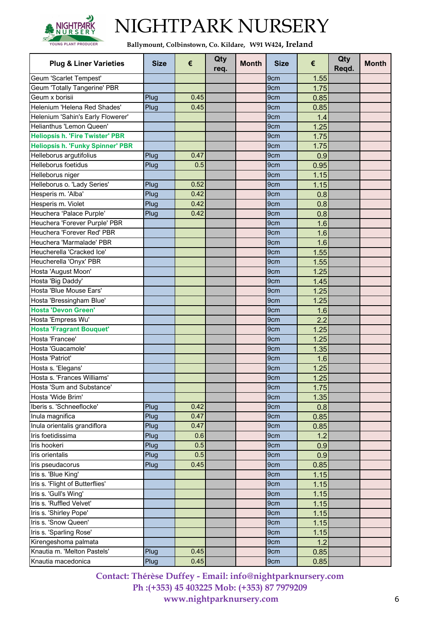

**Ballymount, Colbinstown, Co. Kildare, W91 W424, Ireland**

| <b>Plug &amp; Liner Varieties</b>                      | <b>Size</b> | €    | Qty<br>req. | <b>Month</b> | <b>Size</b>     | €            | Qty<br>Regd. | <b>Month</b> |
|--------------------------------------------------------|-------------|------|-------------|--------------|-----------------|--------------|--------------|--------------|
| Geum 'Scarlet Tempest'                                 |             |      |             |              | 9cm             | 1.55         |              |              |
| Geum 'Totally Tangerine' PBR                           |             |      |             |              | 9cm             | 1.75         |              |              |
| Geum x borisii                                         | Plug        | 0.45 |             |              | 9cm             | 0.85         |              |              |
| Helenium 'Helena Red Shades'                           | Plug        | 0.45 |             |              | 9 <sub>cm</sub> | 0.85         |              |              |
| Helenium 'Sahin's Early Flowerer'                      |             |      |             |              | 9 <sub>cm</sub> | 1.4          |              |              |
| Helianthus 'Lemon Queen'                               |             |      |             |              | 9 <sub>cm</sub> | 1.25         |              |              |
| <b>Heliopsis h. 'Fire Twister' PBR</b>                 |             |      |             |              | 9cm             | 1.75         |              |              |
| <b>Heliopsis h. 'Funky Spinner' PBR</b>                |             |      |             |              | 9cm             | 1.75         |              |              |
| Helleborus argutifolius                                | Plug        | 0.47 |             |              | 9 <sub>cm</sub> | 0.9          |              |              |
| Helleborus foetidus                                    | Plug        | 0.5  |             |              | 9 <sub>cm</sub> | 0.95         |              |              |
| Helleborus niger                                       |             |      |             |              | 9 <sub>cm</sub> | 1.15         |              |              |
| Helleborus o. 'Lady Series'                            | Plug        | 0.52 |             |              | 9 <sub>cm</sub> | 1.15         |              |              |
| Hesperis m. 'Alba'                                     | Plug        | 0.42 |             |              | 9 <sub>cm</sub> | 0.8          |              |              |
| Hesperis m. Violet                                     | Plug        | 0.42 |             |              | 9cm             | 0.8          |              |              |
| Heuchera 'Palace Purple'                               | Plug        | 0.42 |             |              | 9 <sub>cm</sub> | 0.8          |              |              |
| Heuchera 'Forever Purple' PBR                          |             |      |             |              | 9 <sub>cm</sub> | 1.6          |              |              |
| Heuchera 'Forever Red' PBR                             |             |      |             |              | 9 <sub>cm</sub> | 1.6          |              |              |
| Heuchera 'Marmalade' PBR                               |             |      |             |              | 9cm             | 1.6          |              |              |
| Heucherella 'Cracked Ice'                              |             |      |             |              | 9cm             | 1.55         |              |              |
| Heucherella 'Onyx' PBR                                 |             |      |             |              | 9cm             | 1.55         |              |              |
| Hosta 'August Moon'                                    |             |      |             |              | 9cm             | 1.25         |              |              |
| Hosta 'Big Daddy'                                      |             |      |             |              | 9 <sub>cm</sub> | 1.45         |              |              |
| Hosta 'Blue Mouse Ears'                                |             |      |             |              | 9 <sub>cm</sub> |              |              |              |
|                                                        |             |      |             |              | 9 <sub>cm</sub> | 1.25         |              |              |
| Hosta 'Bressingham Blue'<br><b>Hosta 'Devon Green'</b> |             |      |             |              | 9cm             | 1.25         |              |              |
| Hosta 'Empress Wu'                                     |             |      |             |              |                 | 1.6          |              |              |
| <b>Hosta 'Fragrant Bouquet'</b>                        |             |      |             |              | 9cm<br>9cm      | 2.2          |              |              |
| Hosta 'Francee'                                        |             |      |             |              | 9 <sub>cm</sub> | 1.25<br>1.25 |              |              |
| Hosta 'Guacamole'                                      |             |      |             |              | 9cm             |              |              |              |
| Hosta 'Patriot'                                        |             |      |             |              | 9cm             | 1.35<br>1.6  |              |              |
|                                                        |             |      |             |              | 9 <sub>cm</sub> |              |              |              |
| Hosta s. 'Elegans'<br>Hosta s. 'Frances Williams'      |             |      |             |              | 9 <sub>cm</sub> | 1.25         |              |              |
|                                                        |             |      |             |              |                 | 1.25         |              |              |
| Hosta 'Sum and Substance'                              |             |      |             |              | 9 <sub>cm</sub> | 1.75         |              |              |
| Hosta 'Wide Brim'                                      |             |      |             |              | 9cm             | 1.35         |              |              |
| Iberis s. 'Schneeflocke'                               | Plug        | 0.42 |             |              | 9cm             | 0.8          |              |              |
| Inula magnifica                                        | Plug        | 0.47 |             |              | 9cm             | 0.85         |              |              |
| Inula orientalis grandiflora                           | Plug        | 0.47 |             |              | 9cm             | 0.85         |              |              |
| Iris foetidissima                                      | Plug        | 0.6  |             |              | 9cm             | 1.2          |              |              |
| Iris hookeri                                           | Plug        | 0.5  |             |              | 9cm             | 0.9          |              |              |
| Iris orientalis                                        | Plug        | 0.5  |             |              | 9cm             | 0.9          |              |              |
| Iris pseudacorus                                       | Plug        | 0.45 |             |              | 9cm             | 0.85         |              |              |
| Iris s. 'Blue King'                                    |             |      |             |              | 9cm             | 1.15         |              |              |
| Iris s. 'Flight of Butterflies'                        |             |      |             |              | 9cm             | 1.15         |              |              |
| Iris s. 'Gull's Wing'                                  |             |      |             |              | 9cm             | 1.15         |              |              |
| Iris s. 'Ruffled Velvet'                               |             |      |             |              | 9cm             | 1.15         |              |              |
| Iris s. 'Shirley Pope'                                 |             |      |             |              | 9cm             | 1.15         |              |              |
| Iris s. 'Snow Queen'                                   |             |      |             |              | 9cm             | 1.15         |              |              |
| Iris s. 'Sparling Rose'                                |             |      |             |              | 9cm             | 1.15         |              |              |
| Kirengeshoma palmata                                   |             |      |             |              | 9 <sub>cm</sub> | 1.2          |              |              |
| Knautia m. 'Melton Pastels'                            | Plug        | 0.45 |             |              | 9cm             | 0.85         |              |              |
| Knautia macedonica                                     | Plug        | 0.45 |             |              | 9cm             | 0.85         |              |              |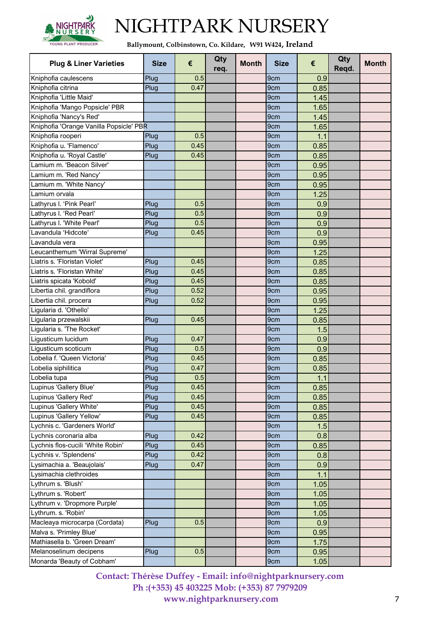

**Ballymount, Colbinstown, Co. Kildare, W91 W424, Ireland**

| <b>Plug &amp; Liner Varieties</b>       | <b>Size</b> | €    | Qty<br>req. | <b>Month</b> | <b>Size</b>     | €    | Qty<br>Regd. | <b>Month</b> |
|-----------------------------------------|-------------|------|-------------|--------------|-----------------|------|--------------|--------------|
| Kniphofia caulescens                    | Plug        | 0.5  |             |              | 9cm             | 0.9  |              |              |
| Kniphofia citrina                       | Plug        | 0.47 |             |              | 9cm             | 0.85 |              |              |
| Kniphofia 'Little Maid'                 |             |      |             |              | 9cm             | 1.45 |              |              |
| Kniphofia 'Mango Popsicle' PBR          |             |      |             |              | 9cm             | 1.65 |              |              |
| Kniphofia 'Nancy's Red'                 |             |      |             |              | 9 <sub>cm</sub> | 1.45 |              |              |
| Kniphofia 'Orange Vanilla Popsicle' PBR |             |      |             |              | 9cm             | 1.65 |              |              |
| Kniphofia rooperi                       | Plug        | 0.5  |             |              | 9cm             | 1.1  |              |              |
| Kniphofia u. 'Flamenco'                 | Plug        | 0.45 |             |              | 9cm             | 0.85 |              |              |
| Kniphofia u. 'Royal Castle'             | Plug        | 0.45 |             |              | 9 <sub>cm</sub> | 0.85 |              |              |
| Lamium m. 'Beacon Silver'               |             |      |             |              | 9cm             | 0.95 |              |              |
| Lamium m. 'Red Nancy'                   |             |      |             |              | 9cm             | 0.95 |              |              |
| Lamium m. 'White Nancy'                 |             |      |             |              | 9cm             | 0.95 |              |              |
| Lamium orvala                           |             |      |             |              | 9cm             | 1.25 |              |              |
| Lathyrus I. 'Pink Pearl'                | Plug        | 0.5  |             |              | 9cm             | 0.9  |              |              |
| Lathyrus I. 'Red Pearl'                 | Plug        | 0.5  |             |              | 9cm             | 0.9  |              |              |
| Lathyrus I. 'White Pearl'               | Plug        | 0.5  |             |              | 9cm             | 0.9  |              |              |
| Lavandula 'Hidcote'                     | Plug        | 0.45 |             |              | 9cm             | 0.9  |              |              |
| Lavandula vera                          |             |      |             |              | 9cm             | 0.95 |              |              |
| Leucanthemum 'Wirral Supreme'           |             |      |             |              | 9cm             | 1.25 |              |              |
| Liatris s. 'Floristan Violet'           | Plug        | 0.45 |             |              | 9 <sub>cm</sub> | 0.85 |              |              |
| Liatris s. 'Floristan White'            | Plug        | 0.45 |             |              | 9cm             | 0.85 |              |              |
| Liatris spicata 'Kobold'                | Plug        | 0.45 |             |              | 9 <sub>cm</sub> | 0.85 |              |              |
| Libertia chil. grandiflora              | Plug        | 0.52 |             |              | 9cm             | 0.95 |              |              |
| Libertia chil. procera                  | Plug        | 0.52 |             |              | 9cm             | 0.95 |              |              |
| Ligularia d. 'Othello'                  |             |      |             |              | 9cm             | 1.25 |              |              |
| Ligularia przewalskii                   | Plug        | 0.45 |             |              | 9cm             | 0.85 |              |              |
| Ligularia s. 'The Rocket'               |             |      |             |              | 9cm             | 1.5  |              |              |
| Ligusticum lucidum                      | Plug        | 0.47 |             |              | 9cm             | 0.9  |              |              |
| Ligusticum scoticum                     | Plug        | 0.5  |             |              | 9cm             | 0.9  |              |              |
| Lobelia f. 'Queen Victoria'             | Plug        | 0.45 |             |              | 9 <sub>cm</sub> | 0.85 |              |              |
| Lobelia siphilitica                     | Plug        | 0.47 |             |              | 9cm             | 0.85 |              |              |
| Lobelia tupa                            | Plug        | 0.5  |             |              | 9cm             | 1.1  |              |              |
| Lupinus 'Gallery Blue'                  | Plug        | 0.45 |             |              | 9 <sub>cm</sub> | 0.85 |              |              |
| Lupinus 'Gallery Red'                   | Plug        | 0.45 |             |              | 9cm             | 0.85 |              |              |
| Lupinus 'Gallery White'                 | Plug        | 0.45 |             |              | 9cm             | 0.85 |              |              |
| Lupinus 'Gallery Yellow'                | Plug        | 0.45 |             |              | 9cm             | 0.85 |              |              |
| Lychnis c. 'Gardeners World'            |             |      |             |              | 9cm             | 1.5  |              |              |
| Lychnis coronaria alba                  | Plug        | 0.42 |             |              | 9cm             | 0.8  |              |              |
| Lychnis flos-cucili 'White Robin'       | Plug        | 0.45 |             |              | 9cm             | 0.85 |              |              |
| Lychnis v. 'Splendens'                  | Plug        | 0.42 |             |              | 9cm             | 0.8  |              |              |
| Lysimachia a. 'Beaujolais'              | Plug        | 0.47 |             |              | 9cm             | 0.9  |              |              |
| Lysimachia clethroides                  |             |      |             |              | 9cm             | 1.1  |              |              |
| Lythrum s. 'Blush'                      |             |      |             |              | 9cm             | 1.05 |              |              |
| Lythrum s. 'Robert'                     |             |      |             |              | 9cm             | 1.05 |              |              |
| Lythrum v. 'Dropmore Purple'            |             |      |             |              | 9cm             | 1.05 |              |              |
| Lythrum. s. 'Robin'                     |             |      |             |              | 9cm             | 1.05 |              |              |
| Macleaya microcarpa (Cordata)           | Plug        | 0.5  |             |              | 9cm             | 0.9  |              |              |
| Malva s. 'Primley Blue'                 |             |      |             |              | 9cm             | 0.95 |              |              |
| Mathiasella b. 'Green Dream'            |             |      |             |              | 9cm             | 1.75 |              |              |
| Melanoselinum decipens                  | Plug        | 0.5  |             |              | 9cm             | 0.95 |              |              |
| Monarda 'Beauty of Cobham'              |             |      |             |              | 9cm             | 1.05 |              |              |
|                                         |             |      |             |              |                 |      |              |              |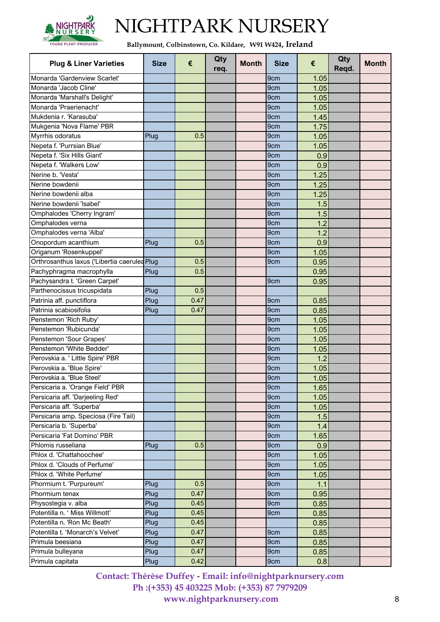

**Ballymount, Colbinstown, Co. Kildare, W91 W424, Ireland**

| <b>Plug &amp; Liner Varieties</b>            | <b>Size</b> | €    | Qty<br>req. | <b>Month</b> | <b>Size</b>     | €    | Qty<br>Regd. | <b>Month</b> |
|----------------------------------------------|-------------|------|-------------|--------------|-----------------|------|--------------|--------------|
| Monarda 'Gardenview Scarlet'                 |             |      |             |              | 9cm             | 1.05 |              |              |
| Monarda 'Jacob Cline'                        |             |      |             |              | 9cm             | 1.05 |              |              |
| Monarda 'Marshall's Delight'                 |             |      |             |              | 9cm             | 1.05 |              |              |
| Monarda 'Praerienacht'                       |             |      |             |              | 9cm             | 1.05 |              |              |
| Mukdenia r. 'Karasuba'                       |             |      |             |              | 9cm             | 1.45 |              |              |
| Mukgenia 'Nova Flame' PBR                    |             |      |             |              | 9 <sub>cm</sub> | 1.75 |              |              |
| Myrrhis odoratus                             | Plug        | 0.5  |             |              | 9cm             | 1.05 |              |              |
| Nepeta f. 'Purrsian Blue'                    |             |      |             |              | 9cm             | 1.05 |              |              |
| Nepeta f. 'Six Hills Giant'                  |             |      |             |              | 9cm             | 0.9  |              |              |
| Nepeta f. 'Walkers Low'                      |             |      |             |              | 9 <sub>cm</sub> | 0.9  |              |              |
| Nerine b. 'Vesta'                            |             |      |             |              | 9 <sub>cm</sub> | 1.25 |              |              |
| Nerine bowdenii                              |             |      |             |              | 9cm             | 1.25 |              |              |
| Nerine bowdenii alba                         |             |      |             |              | 9cm             | 1.25 |              |              |
| Nerine bowdenii 'Isabel'                     |             |      |             |              | 9cm             | 1.5  |              |              |
| Omphalodes 'Cherry Ingram'                   |             |      |             |              | 9cm             | 1.5  |              |              |
| Omphalodes verna                             |             |      |             |              | 9cm             | 1.2  |              |              |
| Omphalodes verna 'Alba'                      |             |      |             |              | 9 <sub>cm</sub> | 1.2  |              |              |
| Onopordum acanthium                          | Plug        | 0.5  |             |              | 9cm             | 0.9  |              |              |
| Origanum 'Rosenkuppel'                       |             |      |             |              | 9cm             | 1.05 |              |              |
| Orthrosanthus laxus ('Libertia caerulea Plug |             | 0.5  |             |              | 9cm             | 0.95 |              |              |
| Pachyphragma macrophylla                     | Plug        | 0.5  |             |              |                 | 0.95 |              |              |
| Pachysandra t. Green Carpet'                 |             |      |             |              | 9cm             | 0.95 |              |              |
| Parthenocissus tricuspidata                  | Plug        | 0.5  |             |              |                 |      |              |              |
| Patrinia aff. punctiflora                    | Plug        | 0.47 |             |              | 9cm             | 0.85 |              |              |
| Patrinia scabiosifolia                       | Plug        | 0.47 |             |              | 9cm             | 0.85 |              |              |
| Penstemon 'Rich Ruby'                        |             |      |             |              | 9cm             | 1.05 |              |              |
| Penstemon 'Rubicunda'                        |             |      |             |              | 9cm             | 1.05 |              |              |
| Penstemon 'Sour Grapes'                      |             |      |             |              | 9 <sub>cm</sub> | 1.05 |              |              |
| Penstemon 'White Bedder'                     |             |      |             |              | 9 <sub>cm</sub> | 1.05 |              |              |
| Perovskia a. ' Little Spire' PBR             |             |      |             |              | 9cm             | 1.2  |              |              |
| Perovskia a. 'Blue Spire'                    |             |      |             |              | 9cm             | 1.05 |              |              |
| Perovskia a. 'Blue Steel'                    |             |      |             |              | 9cm             | 1.05 |              |              |
| Persicaria a. 'Orange Field' PBR             |             |      |             |              | 9cm             | 1.65 |              |              |
| Persicaria aff. 'Darjeeling Red'             |             |      |             |              | 9cm             | 1.05 |              |              |
| Persicaria aff. 'Superba'                    |             |      |             |              | 9cm             | 1.05 |              |              |
| Persicaria amp. Speciosa (Fire Tail)         |             |      |             |              | 9cm             | 1.5  |              |              |
| Persicaria b. 'Superba'                      |             |      |             |              | 9cm             | 1.4  |              |              |
| Persicaria 'Fat Domino' PBR                  |             |      |             |              | 9cm             | 1.65 |              |              |
| Phlomis russeliana                           | Plug        | 0.5  |             |              | 9cm             | 0.9  |              |              |
| Phlox d. 'Chattahoochee'                     |             |      |             |              | 9cm             | 1.05 |              |              |
| Phlox d. 'Clouds of Perfume'                 |             |      |             |              | 9cm             | 1.05 |              |              |
| Phlox d. 'White Perfume'                     |             |      |             |              | 9cm             | 1.05 |              |              |
| Phormium t. 'Purpureum'                      | Plug        | 0.5  |             |              | 9cm             | 1.1  |              |              |
| Phormium tenax                               | Plug        | 0.47 |             |              | 9cm             | 0.95 |              |              |
| Physostegia v. alba                          | Plug        | 0.45 |             |              | 9cm             | 0.85 |              |              |
| Potentilla n. ' Miss Willmott'               | Plug        | 0.45 |             |              | 9cm             | 0.85 |              |              |
| Potentilla n. 'Ron Mc Beath'                 | Plug        | 0.45 |             |              |                 | 0.85 |              |              |
| Potentilla t. 'Monarch's Velvet'             | Plug        | 0.47 |             |              | 9cm             | 0.85 |              |              |
| Primula beesiana                             | Plug        | 0.47 |             |              | 9cm             | 0.85 |              |              |
| Primula bulleyana                            | Plug        | 0.47 |             |              | 9cm             | 0.85 |              |              |
| Primula capitata                             | Plug        | 0.42 |             |              | 9cm             | 0.8  |              |              |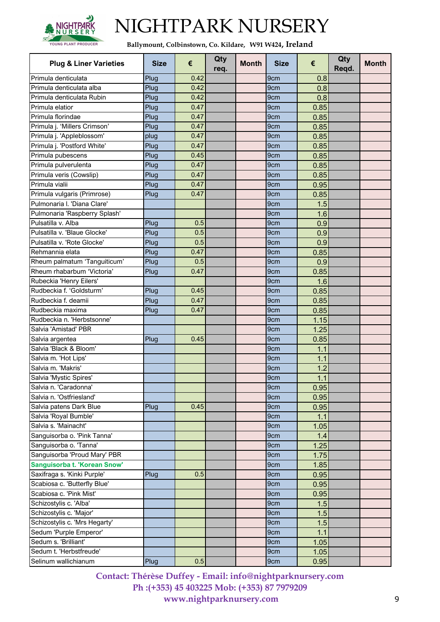

**Ballymount, Colbinstown, Co. Kildare, W91 W424, Ireland**

| <b>Plug &amp; Liner Varieties</b>                     | <b>Size</b> | €    | Qty<br>req. | <b>Month</b> | <b>Size</b>            | €            | Qty<br>Reqd. | <b>Month</b> |
|-------------------------------------------------------|-------------|------|-------------|--------------|------------------------|--------------|--------------|--------------|
| Primula denticulata                                   | Plug        | 0.42 |             |              | 9cm                    | 0.8          |              |              |
| Primula denticulata alba                              | Plug        | 0.42 |             |              | 9cm                    | 0.8          |              |              |
| Primula denticulata Rubin                             | Plug        | 0.42 |             |              | 9cm                    | 0.8          |              |              |
| Primula elatior                                       | Plug        | 0.47 |             |              | 9cm                    | 0.85         |              |              |
| Primula florindae                                     | Plug        | 0.47 |             |              | 9cm                    | 0.85         |              |              |
| Primula j. 'Millers Crimson'                          | Plug        | 0.47 |             |              | 9 <sub>cm</sub>        | 0.85         |              |              |
| Primula j. 'Appleblossom'                             | plug        | 0.47 |             |              | 9cm                    | 0.85         |              |              |
| Primula j. 'Postford White'                           | Plug        | 0.47 |             |              | 9cm                    | 0.85         |              |              |
| Primula pubescens                                     | Plug        | 0.45 |             |              | 9 <sub>cm</sub>        | 0.85         |              |              |
| Primula pulverulenta                                  | Plug        | 0.47 |             |              | 9 <sub>cm</sub>        | 0.85         |              |              |
| Primula veris (Cowslip)                               | Plug        | 0.47 |             |              | 9 <sub>cm</sub>        | 0.85         |              |              |
| Primula vialii                                        | Plug        | 0.47 |             |              | 9 <sub>cm</sub>        | 0.95         |              |              |
| Primula vulgaris (Primrose)                           | Plug        | 0.47 |             |              | 9 <sub>cm</sub>        | 0.85         |              |              |
| Pulmonaria I. 'Diana Clare'                           |             |      |             |              | 9cm                    | 1.5          |              |              |
| Pulmonaria 'Raspberry Splash'                         |             |      |             |              | 9cm                    | 1.6          |              |              |
| Pulsatilla v. Alba                                    | Plug        | 0.5  |             |              | 9cm                    | 0.9          |              |              |
| Pulsatilla v. 'Blaue Glocke'                          | Plug        | 0.5  |             |              | 9 <sub>cm</sub>        | 0.9          |              |              |
| Pulsatilla v. 'Rote Glocke'                           | Plug        | 0.5  |             |              | 9cm                    | 0.9          |              |              |
| Rehmannia elata                                       | Plug        | 0.47 |             |              | 9cm                    | 0.85         |              |              |
| Rheum palmatum 'Tanguiticum'                          | Plug        | 0.5  |             |              | 9 <sub>cm</sub>        | 0.9          |              |              |
| Rheum rhabarbum 'Victoria'                            | Plug        | 0.47 |             |              | 9cm                    | 0.85         |              |              |
| Rubeckia 'Henry Eilers'                               |             |      |             |              | 9cm                    | 1.6          |              |              |
| Rudbeckia f. 'Goldsturm'                              |             | 0.45 |             |              |                        |              |              |              |
| Rudbeckia f. deamii                                   | Plug        | 0.47 |             |              | 9cm<br>9 <sub>cm</sub> | 0.85         |              |              |
| Rudbeckia maxima                                      | Plug        | 0.47 |             |              | 9 <sub>cm</sub>        | 0.85         |              |              |
| Rudbeckia n. 'Herbstsonne'                            | Plug        |      |             |              |                        | 0.85         |              |              |
| Salvia 'Amistad' PBR                                  |             |      |             |              | 9cm<br>9cm             | 1.15<br>1.25 |              |              |
| Salvia argentea                                       | Plug        | 0.45 |             |              | 9 <sub>cm</sub>        | 0.85         |              |              |
| Salvia 'Black & Bloom'                                |             |      |             |              | 9cm                    | 1.1          |              |              |
| Salvia m. 'Hot Lips'                                  |             |      |             |              | 9cm                    | 1.1          |              |              |
| Salvia m. 'Makris'                                    |             |      |             |              | 9 <sub>cm</sub>        | 1.2          |              |              |
| Salvia 'Mystic Spires'                                |             |      |             |              | 9cm                    | 1.1          |              |              |
| Salvia n. 'Caradonna'                                 |             |      |             |              |                        |              |              |              |
| Salvia n. 'Ostfriesland'                              |             |      |             |              | 9cm<br>9cm             | 0.951        |              |              |
|                                                       |             |      |             |              |                        | 0.95         |              |              |
| Salvia patens Dark Blue                               | Plug        | 0.45 |             |              | 9cm                    | 0.95         |              |              |
| Salvia 'Royal Bumble'<br>Salvia s. 'Mainacht'         |             |      |             |              | 9cm                    | 1.1          |              |              |
|                                                       |             |      |             |              | 9cm                    | 1.05         |              |              |
| Sanguisorba o. 'Pink Tanna'<br>Sanguisorba o. 'Tanna' |             |      |             |              | 9 <sub>cm</sub>        | 1.4          |              |              |
|                                                       |             |      |             |              | 9cm                    | 1.25         |              |              |
| Sanguisorba 'Proud Mary' PBR                          |             |      |             |              | 9cm                    | 1.75         |              |              |
| Sanguisorba t. 'Korean Snow'                          |             |      |             |              | 9cm                    | 1.85         |              |              |
| Saxifraga s. 'Kinki Purple'                           | Plug        | 0.5  |             |              | 9 <sub>cm</sub>        | 0.95         |              |              |
| Scabiosa c. 'Butterfly Blue'                          |             |      |             |              | 9cm                    | 0.95         |              |              |
| Scabiosa c. 'Pink Mist'                               |             |      |             |              | 9 <sub>cm</sub>        | 0.95         |              |              |
| Schizostylis c. 'Alba'                                |             |      |             |              | 9cm                    | 1.5          |              |              |
| Schizostylis c. 'Major'                               |             |      |             |              | 9cm                    | 1.5          |              |              |
| Schizostylis c. 'Mrs Hegarty'                         |             |      |             |              | 9cm                    | 1.5          |              |              |
| Sedum 'Purple Emperor'                                |             |      |             |              | 9cm                    | 1.1          |              |              |
| Sedum s. 'Brilliant'                                  |             |      |             |              | 9cm                    | 1.05         |              |              |
| Sedum t. 'Herbstfreude'                               |             |      |             |              | 9cm                    | 1.05         |              |              |
| Selinum wallichianum                                  | Plug        | 0.5  |             |              | 9cm                    | 0.95         |              |              |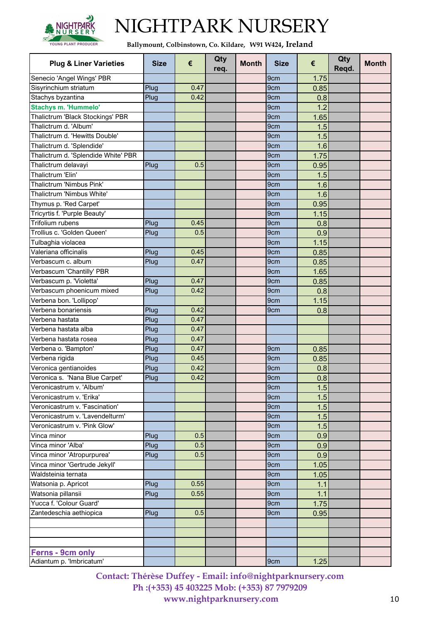

**Ballymount, Colbinstown, Co. Kildare, W91 W424, Ireland**

| <b>Plug &amp; Liner Varieties</b>         | <b>Size</b> | €    | Qty<br>req. | <b>Month</b> | <b>Size</b>            | €          | Qty<br>Regd. | <b>Month</b> |
|-------------------------------------------|-------------|------|-------------|--------------|------------------------|------------|--------------|--------------|
| Senecio 'Angel Wings' PBR                 |             |      |             |              | 9cm                    | 1.75       |              |              |
| Sisyrinchium striatum                     | Plug        | 0.47 |             |              | 9 <sub>cm</sub>        | 0.85       |              |              |
| Stachys byzantina                         | Plug        | 0.42 |             |              | 9cm                    | 0.8        |              |              |
| <b>Stachys m. 'Hummelo'</b>               |             |      |             |              | 9cm                    | 1.2        |              |              |
| Thalictrum 'Black Stockings' PBR          |             |      |             |              | 9 <sub>cm</sub>        | 1.65       |              |              |
| Thalictrum d. 'Album'                     |             |      |             |              | 9 <sub>cm</sub>        | 1.5        |              |              |
| Thalictrum d. 'Hewitts Double'            |             |      |             |              | 9cm                    | 1.5        |              |              |
| Thalictrum d. 'Splendide'                 |             |      |             |              | 9cm                    | 1.6        |              |              |
| Thalictrum d. 'Splendide White' PBR       |             |      |             |              | 9 <sub>cm</sub>        | 1.75       |              |              |
| Thalictrum delavayi                       | Plug        | 0.5  |             |              | 9 <sub>cm</sub>        | 0.95       |              |              |
| Thalictrum 'Elin'                         |             |      |             |              | 9cm                    | 1.5        |              |              |
| Thalictrum 'Nimbus Pink'                  |             |      |             |              | 9 <sub>cm</sub>        | 1.6        |              |              |
| Thalictrum 'Nimbus White'                 |             |      |             |              | 9 <sub>cm</sub>        | 1.6        |              |              |
| Thymus p. 'Red Carpet'                    |             |      |             |              | 9cm                    | 0.95       |              |              |
| Tricyrtis f. 'Purple Beauty'              |             |      |             |              | 9cm                    | 1.15       |              |              |
| Trifolium rubens                          | Plug        | 0.45 |             |              | 9 <sub>cm</sub>        | 0.8        |              |              |
| Trollius c. 'Golden Queen'                | Plug        | 0.5  |             |              | 9cm                    | 0.9        |              |              |
| Tulbaghia violacea                        |             |      |             |              | 9cm                    | 1.15       |              |              |
| Valeriana officinalis                     | Plug        | 0.45 |             |              | 9cm                    | 0.85       |              |              |
| Verbascum c. album                        | Plug        | 0.47 |             |              | 9 <sub>cm</sub>        | 0.85       |              |              |
| Verbascum 'Chantilly' PBR                 |             |      |             |              | 9cm                    | 1.65       |              |              |
| Verbascum p. 'Violetta'                   | Plug        | 0.47 |             |              | 9cm                    | 0.85       |              |              |
| Verbascum phoenicum mixed                 | Plug        | 0.42 |             |              | 9 <sub>cm</sub>        | 0.8        |              |              |
| Verbena bon. 'Lollipop'                   |             |      |             |              | 9cm                    | 1.15       |              |              |
| Verbena bonariensis                       | Plug        | 0.42 |             |              | 9cm                    | 0.8        |              |              |
| Verbena hastata                           | Plug        | 0.47 |             |              |                        |            |              |              |
| Verbena hastata alba                      | Plug        | 0.47 |             |              |                        |            |              |              |
| Verbena hastata rosea                     | Plug        | 0.47 |             |              |                        |            |              |              |
| Verbena o. 'Bampton'                      | Plug        | 0.47 |             |              | 9cm                    | 0.85       |              |              |
| Verbena rigida                            | Plug        | 0.45 |             |              | 9cm                    | 0.85       |              |              |
| Veronica gentianoides                     | Plug        | 0.42 |             |              | 9cm                    | 0.8        |              |              |
| Veronica s. 'Nana Blue Carpet'            | Plug        | 0.42 |             |              | 9cm                    | 0.8        |              |              |
| Veronicastrum v. 'Album'                  |             |      |             |              | 9 <sub>cm</sub>        | 1.5        |              |              |
| Veronicastrum v. 'Erika'                  |             |      |             |              | 9cm                    | 1.5        |              |              |
| Veronicastrum v. 'Fascination'            |             |      |             |              | 9cm                    | 1.5        |              |              |
| Veronicastrum v. 'Lavendelturm'           |             |      |             |              | 9cm                    | 1.5        |              |              |
| Veronicastrum v. 'Pink Glow'              |             |      |             |              | 9cm                    | 1.5        |              |              |
| Vinca minor                               | Plug        | 0.5  |             |              | 9 <sub>cm</sub>        | 0.9        |              |              |
| Vinca minor 'Alba'                        | Plug        | 0.5  |             |              | 9cm                    | 0.9        |              |              |
| Vinca minor 'Atropurpurea'                | Plug        | 0.5  |             |              | 9cm                    | 0.9        |              |              |
| Vinca minor 'Gertrude Jekyll'             |             |      |             |              | 9cm                    | 1.05       |              |              |
| Waldsteinia ternata                       |             |      |             |              | 9cm                    | 1.05       |              |              |
|                                           |             | 0.55 |             |              |                        |            |              |              |
| Watsonia p. Apricot<br>Watsonia pillansii | Plug        | 0.55 |             |              | 9 <sub>cm</sub><br>9cm | 1.1<br>1.1 |              |              |
| Yucca f. 'Colour Guard'                   | Plug        |      |             |              | 9cm                    | 1.75       |              |              |
|                                           |             | 0.5  |             |              |                        |            |              |              |
| Zantedeschia aethiopica                   | Plug        |      |             |              | 9cm                    | 0.95       |              |              |
|                                           |             |      |             |              |                        |            |              |              |
|                                           |             |      |             |              |                        |            |              |              |
| Ferns - 9cm only                          |             |      |             |              |                        |            |              |              |
| Adiantum p. 'Imbricatum'                  |             |      |             |              | 9cm                    | 1.25       |              |              |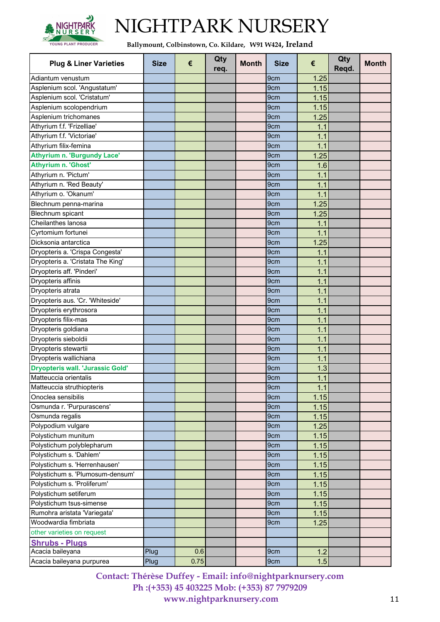

**Ballymount, Colbinstown, Co. Kildare, W91 W424, Ireland**

| <b>Plug &amp; Liner Varieties</b>               | <b>Size</b> | €    | Qty<br>req. | <b>Month</b> | <b>Size</b>     | €            | Qty<br>Reqd. | <b>Month</b> |
|-------------------------------------------------|-------------|------|-------------|--------------|-----------------|--------------|--------------|--------------|
| Adiantum venustum                               |             |      |             |              | 9cm             | 1.25         |              |              |
| Asplenium scol. 'Angustatum'                    |             |      |             |              | 9cm             | 1.15         |              |              |
| Asplenium scol. 'Cristatum'                     |             |      |             |              | 9cm             | 1.15         |              |              |
| Asplenium scolopendrium                         |             |      |             |              | 9cm             | 1.15         |              |              |
| Asplenium trichomanes                           |             |      |             |              | 9 <sub>cm</sub> | 1.25         |              |              |
| Athyrium f.f. 'Frizelliae'                      |             |      |             |              | 9cm             | 1.1          |              |              |
| Athyrium f.f. 'Victoriae'                       |             |      |             |              | 9cm             | 1.1          |              |              |
| Athyrium filix-femina                           |             |      |             |              | 9cm             | 1.1          |              |              |
| <b>Athyrium n. 'Burgundy Lace'</b>              |             |      |             |              | 9cm             | 1.25         |              |              |
| Athyrium n. 'Ghost'                             |             |      |             |              | 9cm             | 1.6          |              |              |
| Athyrium n. 'Pictum'                            |             |      |             |              | 9cm             | 1.1          |              |              |
| Athyrium n. 'Red Beauty'                        |             |      |             |              | 9cm             | 1.1          |              |              |
| Athyrium o. 'Okanum'                            |             |      |             |              | 9cm             | 1.1          |              |              |
| Blechnum penna-marina                           |             |      |             |              | 9cm             | 1.25         |              |              |
| Blechnum spicant                                |             |      |             |              | 9cm             | 1.25         |              |              |
| Cheilanthes lanosa                              |             |      |             |              | 9cm             | 1.1          |              |              |
| Cyrtomium fortunei                              |             |      |             |              | 9cm             | 1.1          |              |              |
| Dicksonia antarctica                            |             |      |             |              | 9cm             | 1.25         |              |              |
| Dryopteris a. 'Crispa Congesta'                 |             |      |             |              | 9cm             | 1.1          |              |              |
| Dryopteris a. 'Cristata The King'               |             |      |             |              | 9cm             | 1.1          |              |              |
| Dryopteris aff. 'Pinderi'                       |             |      |             |              | 9cm             | 1.1          |              |              |
| Dryopteris affinis                              |             |      |             |              | 9 <sub>cm</sub> | 1.1          |              |              |
| Dryopteris atrata                               |             |      |             |              | 9cm             | 1.1          |              |              |
| Dryopteris aus. 'Cr. 'Whiteside'                |             |      |             |              | 9cm             | 1.1          |              |              |
| Dryopteris erythrosora                          |             |      |             |              | 9cm             | 1.1          |              |              |
| Dryopteris filix-mas                            |             |      |             |              | 9cm             | 1.1          |              |              |
| Dryopteris goldiana                             |             |      |             |              | 9 <sub>cm</sub> | 1.1          |              |              |
| Dryopteris sieboldii                            |             |      |             |              | 9cm             | 1.1          |              |              |
| Dryopteris stewartii                            |             |      |             |              | 9cm             | 1.1          |              |              |
| Dryopteris wallichiana                          |             |      |             |              | 9cm             | 1.1          |              |              |
| <b>Dryopteris wall. 'Jurassic Gold'</b>         |             |      |             |              | 9cm             | 1.3          |              |              |
| Matteuccia orientalis                           |             |      |             |              | 9cm             | 1.1          |              |              |
|                                                 |             |      |             |              | 9cm             |              |              |              |
| Matteuccia struthiopteris<br>Onoclea sensibilis |             |      |             |              | 9cm             | 1.1          |              |              |
| Osmunda r. 'Purpurascens'                       |             |      |             |              | 9cm             | 1.15         |              |              |
| Osmunda regalis                                 |             |      |             |              | 9cm             | 1.15<br>1.15 |              |              |
|                                                 |             |      |             |              |                 |              |              |              |
| Polypodium vulgare                              |             |      |             |              | 9cm             | 1.25         |              |              |
| Polystichum munitum                             |             |      |             |              | 9cm             | 1.15         |              |              |
| Polystichum polyblepharum                       |             |      |             |              | 9cm             | 1.15         |              |              |
| Polystichum s. 'Dahlem'                         |             |      |             |              | 9cm             | 1.15         |              |              |
| Polystichum s. 'Herrenhausen'                   |             |      |             |              | 9cm             | 1.15         |              |              |
| Polystichum s. 'Plumosum-densum'                |             |      |             |              | 9cm             | 1.15         |              |              |
| Polystichum s. 'Proliferum'                     |             |      |             |              | 9cm             | 1.15         |              |              |
| Polystichum setiferum                           |             |      |             |              | 9cm             | 1.15         |              |              |
| Polystichum tsus-simense                        |             |      |             |              | 9cm             | 1.15         |              |              |
| Rumohra aristata 'Variegata'                    |             |      |             |              | 9cm             | 1.15         |              |              |
| Woodwardia fimbriata                            |             |      |             |              | 9cm             | 1.25         |              |              |
| other varieties on request                      |             |      |             |              |                 |              |              |              |
| <b>Shrubs - Plugs</b>                           |             |      |             |              |                 |              |              |              |
| Acacia baileyana                                | Plug        | 0.6  |             |              | 9cm             | 1.2          |              |              |
| Acacia baileyana purpurea                       | Plug        | 0.75 |             |              | 9cm             | 1.5          |              |              |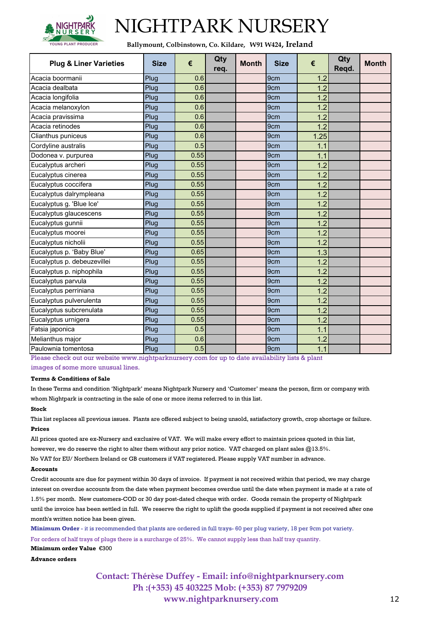

**Ballymount, Colbinstown, Co. Kildare, W91 W424, Ireland**

| <b>Plug &amp; Liner Varieties</b> | <b>Size</b> | €    | Qty<br>req. | <b>Month</b> | <b>Size</b>     | €    | Qty<br>Regd. | <b>Month</b> |
|-----------------------------------|-------------|------|-------------|--------------|-----------------|------|--------------|--------------|
| Acacia boormanii                  | Plug        | 0.6  |             |              | 9 <sub>cm</sub> | 1.2  |              |              |
| Acacia dealbata                   | Plug        | 0.6  |             |              | 9 <sub>cm</sub> | 1.2  |              |              |
| Acacia longifolia                 | Plug        | 0.6  |             |              | 9cm             | 1.2  |              |              |
| Acacia melanoxylon                | Plug        | 0.6  |             |              | 9cm             | 1.2  |              |              |
| Acacia pravissima                 | Plug        | 0.6  |             |              | 9 <sub>cm</sub> | 1.2  |              |              |
| Acacia retinodes                  | Plug        | 0.6  |             |              | 9cm             | 1.2  |              |              |
| Clianthus puniceus                | Plug        | 0.6  |             |              | 9cm             | 1.25 |              |              |
| Cordyline australis               | Plug        | 0.5  |             |              | 9 <sub>cm</sub> | 1.1  |              |              |
| Dodonea v. purpurea               | Plug        | 0.55 |             |              | 9cm             | 1.1  |              |              |
| Eucalyptus archeri                | Plug        | 0.55 |             |              | 9cm             | 1.2  |              |              |
| Eucalyptus cinerea                | Plug        | 0.55 |             |              | 9 <sub>cm</sub> | 1.2  |              |              |
| Eucalyptus coccifera              | Plug        | 0.55 |             |              | 9cm             | 1.2  |              |              |
| Eucalyptus dalrympleana           | Plug        | 0.55 |             |              | 9 <sub>cm</sub> | 1.2  |              |              |
| Eucalyptus g. 'Blue Ice'          | Plug        | 0.55 |             |              | 9cm             | 1.2  |              |              |
| Eucalyptus glaucescens            | Plug        | 0.55 |             |              | 9cm             | 1.2  |              |              |
| Eucalyptus gunnii                 | Plug        | 0.55 |             |              | 9 <sub>cm</sub> | 1.2  |              |              |
| Eucalyptus moorei                 | Plug        | 0.55 |             |              | 9cm             | 1.2  |              |              |
| Eucalyptus nicholii               | Plug        | 0.55 |             |              | 9 <sub>cm</sub> | 1.2  |              |              |
| Eucalyptus p. 'Baby Blue'         | Plug        | 0.65 |             |              | 9 <sub>cm</sub> | 1.3  |              |              |
| Eucalyptus p. debeuzevillei       | Plug        | 0.55 |             |              | 9 <sub>cm</sub> | 1.2  |              |              |
| Eucalyptus p. niphophila          | Plug        | 0.55 |             |              | 9 <sub>cm</sub> | 1.2  |              |              |
| Eucalyptus parvula                | Plug        | 0.55 |             |              | 9cm             | 1.2  |              |              |
| Eucalyptus perriniana             | Plug        | 0.55 |             |              | 9 <sub>cm</sub> | 1.2  |              |              |
| Eucalyptus pulverulenta           | Plug        | 0.55 |             |              | 9 <sub>cm</sub> | 1.2  |              |              |
| Eucalyptus subcrenulata           | Plug        | 0.55 |             |              | 9 <sub>cm</sub> | 1.2  |              |              |
| Eucalyptus urnigera               | Plug        | 0.55 |             |              | 9 <sub>cm</sub> | 1.2  |              |              |
| Fatsia japonica                   | Plug        | 0.5  |             |              | 9cm             | 1.1  |              |              |
| Melianthus major                  | Plug        | 0.6  |             |              | 9 <sub>cm</sub> | 1.2  |              |              |
| Paulownia tomentosa               | Plug        | 0.5  |             |              | 9cm             | 1.1  |              |              |

Please check out our website www.nightparknursery.com for up to date availability lists & plant

images of some more unusual lines.

#### **Terms & Conditions of Sale**

In these Terms and condition 'Nightpark' means Nightpark Nursery and 'Customer' means the person, firm or company with whom Nightpark is contracting in the sale of one or more items referred to in this list.

#### **Stock**

This list replaces all previous issues. Plants are offered subject to being unsold, satisfactory growth, crop shortage or failure. **Prices**

All prices quoted are ex-Nursery and exclusive of VAT. We will make every effort to maintain prices quoted in this list, however, we do reserve the right to alter them without any prior notice. VAT charged on plant sales @13.5%. No VAT for EU/ Northern Ireland or GB customers if VAT registered. Please supply VAT number in advance.

#### **Accounts**

Credit accounts are due for payment within 30 days of invoice. If payment is not received within that period, we may charge interest on overdue accounts from the date when payment becomes overdue until the date when payment is made at a rate of 1.5% per month. New customers-COD or 30 day post-dated cheque with order. Goods remain the property of Nightpark until the invoice has been settled in full. We reserve the right to uplift the goods supplied if payment is not received after one month's written notice has been given.

**Minimum Order** - it is recommended that plants are ordered in full trays- 60 per plug variety, 18 per 9cm pot variety. For orders of half trays of plugs there is a surcharge of 25%. We cannot supply less than half tray quantity.

**Minimum order Value** €300

**Advance orders**